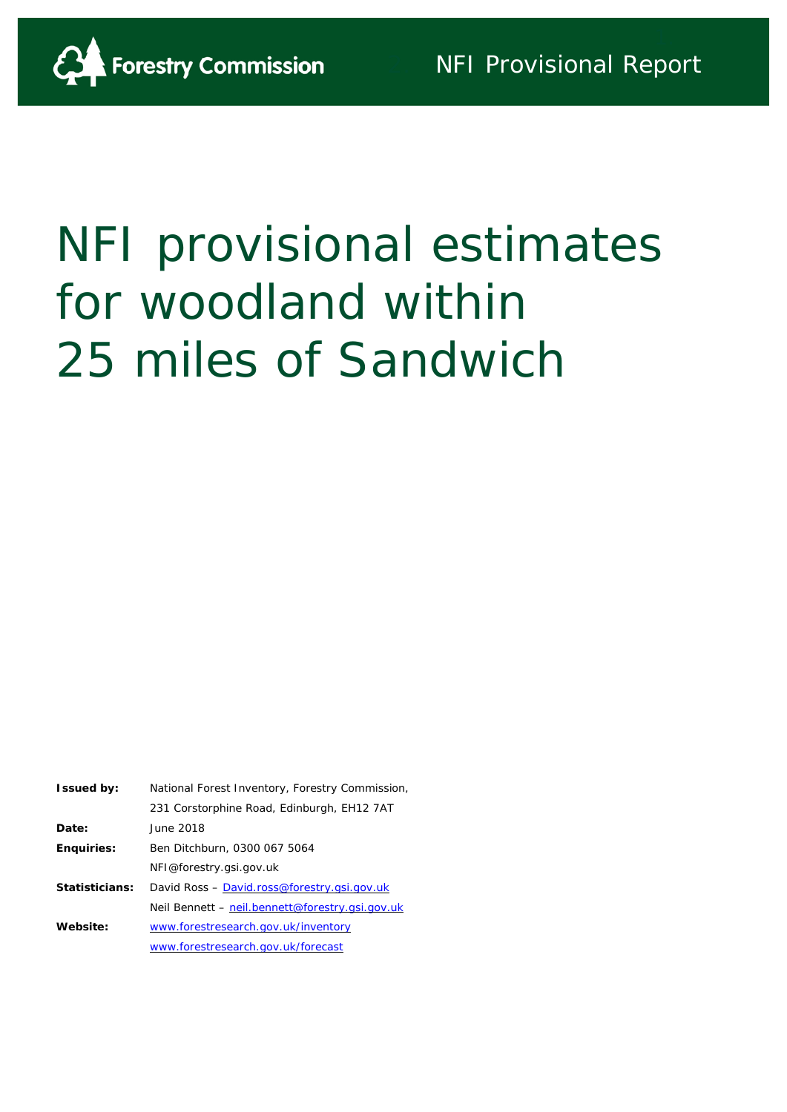

# NFI provisional estimates for woodland within 25 miles of Sandwich

| <b>Issued by:</b> | National Forest Inventory, Forestry Commission, |
|-------------------|-------------------------------------------------|
|                   | 231 Corstorphine Road, Edinburgh, EH12 7AT      |
| Date:             | June 2018                                       |
| <b>Enquiries:</b> | Ben Ditchburn, 0300 067 5064                    |
|                   | NFI@forestry.gsi.gov.uk                         |
| Statisticians:    | David Ross - David.ross@forestry.gsi.gov.uk     |
|                   | Neil Bennett – neil.bennett@forestry.gsi.gov.uk |
| Website:          | www.forestresearch.gov.uk/inventory             |
|                   | www.forestresearch.gov.uk/forecast              |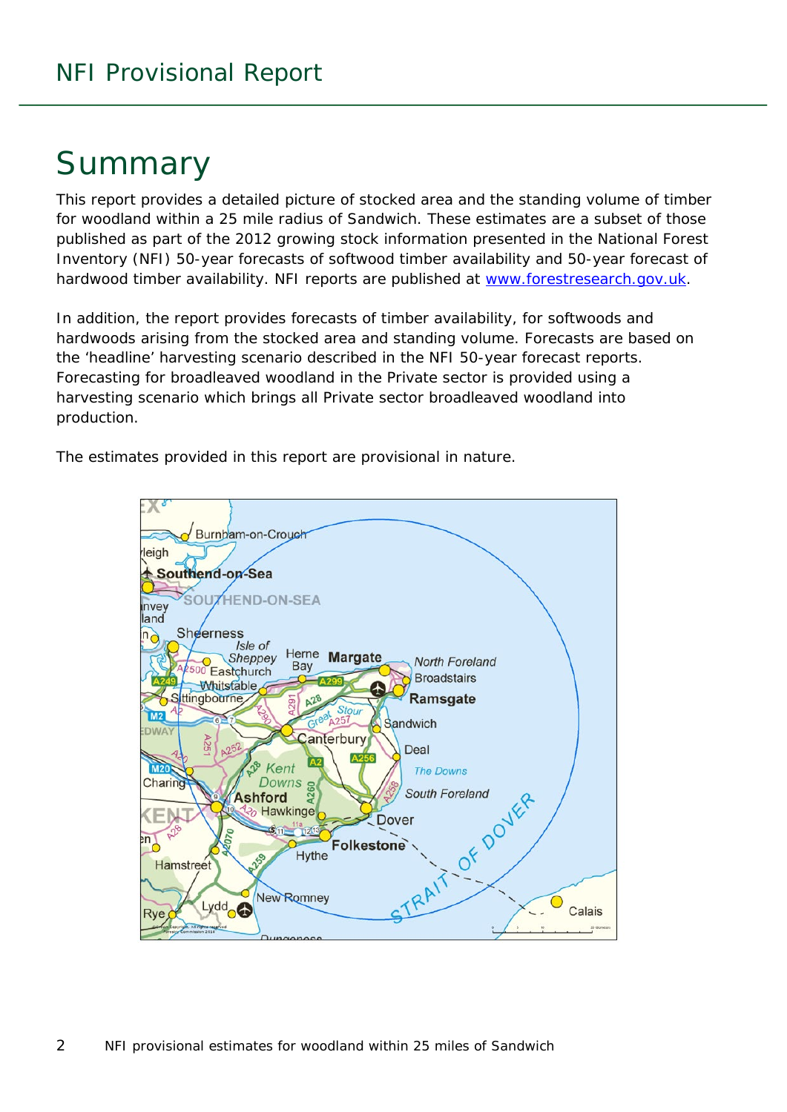## Summary

This report provides a detailed picture of stocked area and the standing volume of timber for woodland within a 25 mile radius of Sandwich. These estimates are a subset of those published as part of the 2012 growing stock information presented in the National Forest Inventory (NFI) *50-year forecasts of softwood timber availability* and *50-year forecast of hardwood timber availability*. NFI reports are published at [www.forestresearch.gov.uk.](http://www.forestresearch.gov.uk/)

In addition, the report provides forecasts of timber availability, for softwoods and hardwoods arising from the stocked area and standing volume. Forecasts are based on the 'headline' harvesting scenario described in the NFI 50-year forecast reports. Forecasting for broadleaved woodland in the Private sector is provided using a harvesting scenario which brings all Private sector broadleaved woodland into production.

The estimates provided in this report are provisional in nature.

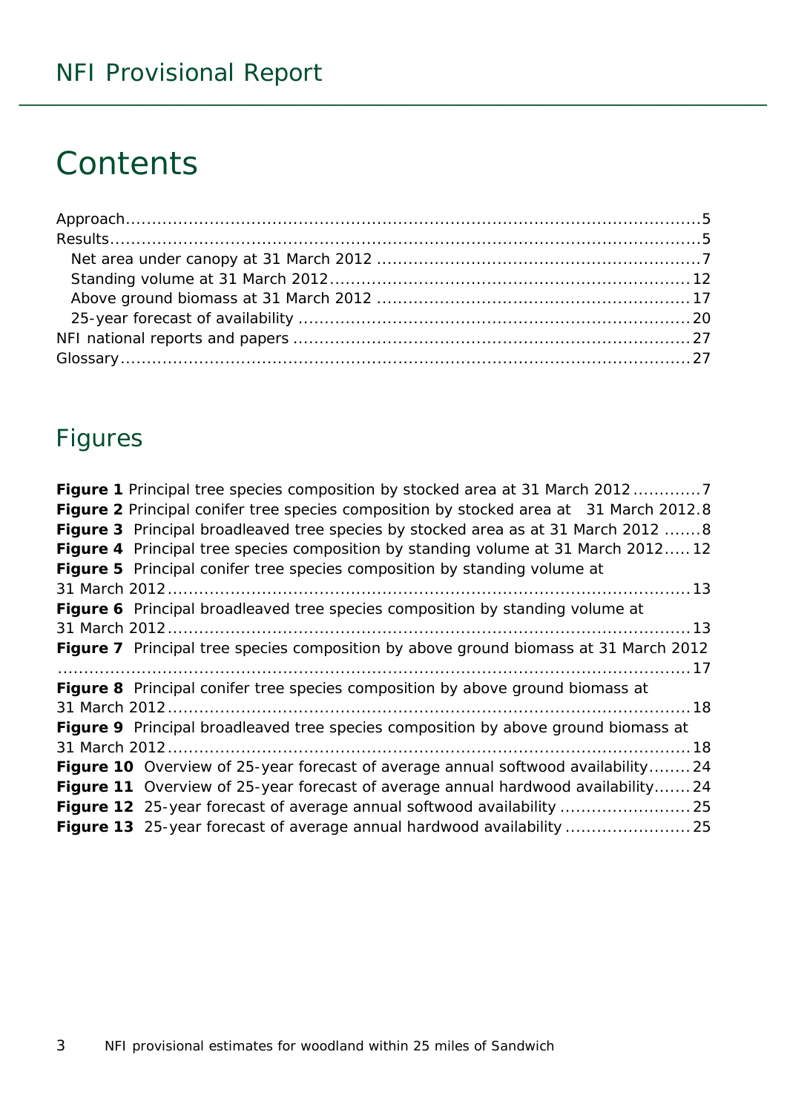## **Contents**

## Figures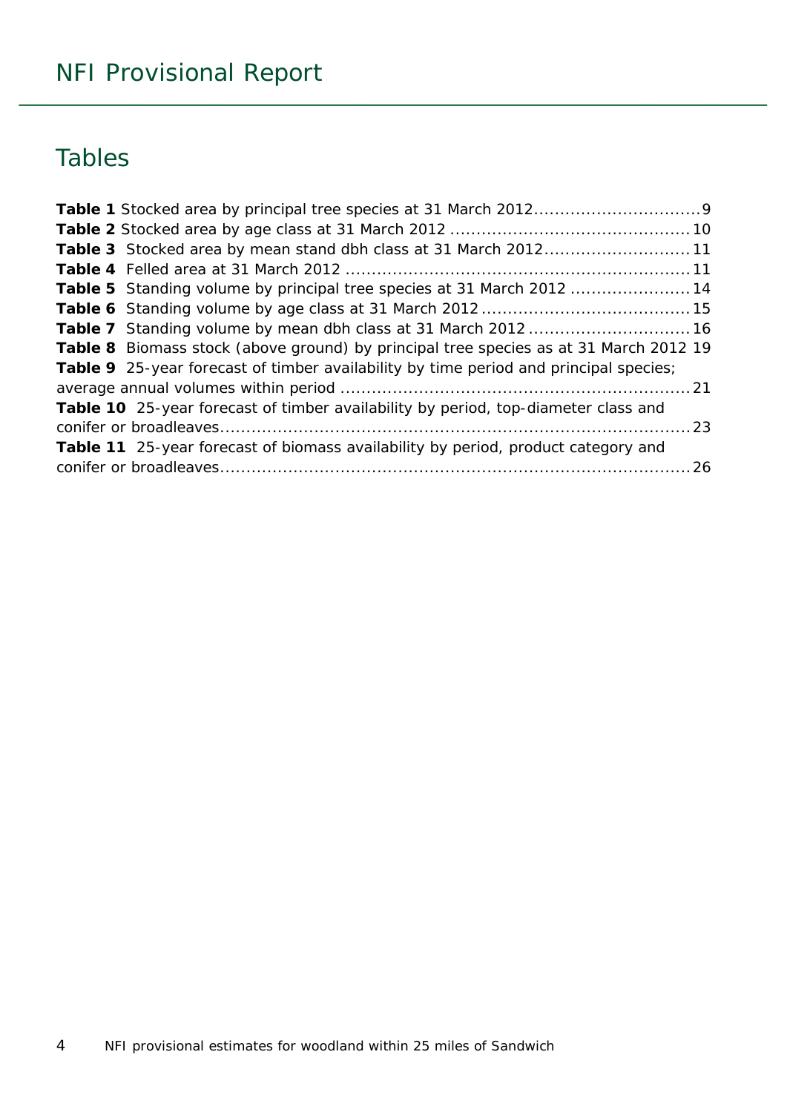## Tables

| Table 3 Stocked area by mean stand dbh class at 31 March 201211                       |  |
|---------------------------------------------------------------------------------------|--|
|                                                                                       |  |
| Table 5 Standing volume by principal tree species at 31 March 2012 14                 |  |
|                                                                                       |  |
|                                                                                       |  |
| Table 8 Biomass stock (above ground) by principal tree species as at 31 March 2012 19 |  |
| Table 9 25-year forecast of timber availability by time period and principal species; |  |
|                                                                                       |  |
| Table 10 25-year forecast of timber availability by period, top-diameter class and    |  |
|                                                                                       |  |
| Table 11 25-year forecast of biomass availability by period, product category and     |  |
|                                                                                       |  |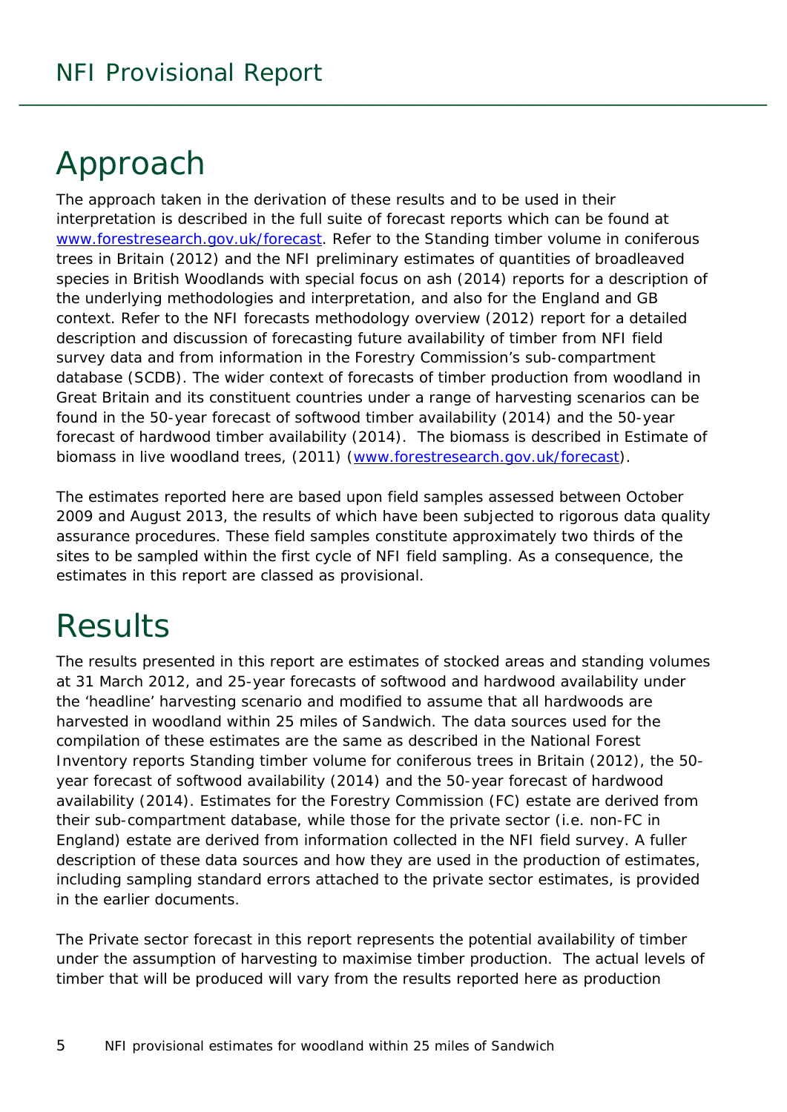## <span id="page-4-0"></span>Approach

The approach taken in the derivation of these results and to be used in their interpretation is described in the full suite of forecast reports which can be found at [www.forestresearch.gov.uk/forecast.](http://www.forestresearch.gov.uk/forecast) Refer to the *Standing timber volume in coniferous trees in Britain* (2012) and the *NFI preliminary estimates of quantities of broadleaved species in British Woodlands with special focus on ash* (2014) reports for a description of the underlying methodologies and interpretation, and also for the England and GB context. Refer to the *NFI forecasts methodology overview* (2012) report for a detailed description and discussion of forecasting future availability of timber from NFI field survey data and from information in the Forestry Commission's sub-compartment database (SCDB). The wider context of forecasts of timber production from woodland in Great Britain and its constituent countries under a range of harvesting scenarios can be found in the *50-year forecast of softwood timber availability* (2014) and the *50-year forecast of hardwood timber availability* (2014). The biomass is described in *Estimate of biomass in live woodland trees*, (2011) [\(www.forestresearch.gov.uk/forecast\)](http://www.forestresearch.gov.uk/forecast).

The estimates reported here are based upon field samples assessed between October 2009 and August 2013, the results of which have been subjected to rigorous data quality assurance procedures. These field samples constitute approximately two thirds of the sites to be sampled within the first cycle of NFI field sampling. As a consequence, the estimates in this report are classed as provisional.

## <span id="page-4-1"></span>**Results**

The results presented in this report are estimates of stocked areas and standing volumes at 31 March 2012, and 25-year forecasts of softwood and hardwood availability under the 'headline' harvesting scenario and modified to assume that all hardwoods are harvested in woodland within 25 miles of Sandwich. The data sources used for the compilation of these estimates are the same as described in the National Forest Inventory reports *Standing timber volume for coniferous trees in Britain* (2012), the *50 year forecast of softwood availability* (2014) and the *50-year forecast of hardwood availability* (2014). Estimates for the Forestry Commission (FC) estate are derived from their sub-compartment database, while those for the private sector (i.e. non-FC in England) estate are derived from information collected in the NFI field survey. A fuller description of these data sources and how they are used in the production of estimates, including sampling standard errors attached to the private sector estimates, is provided in the earlier documents.

The Private sector forecast in this report represents the potential availability of timber under the assumption of harvesting to maximise timber production. The actual levels of timber that will be produced will vary from the results reported here as production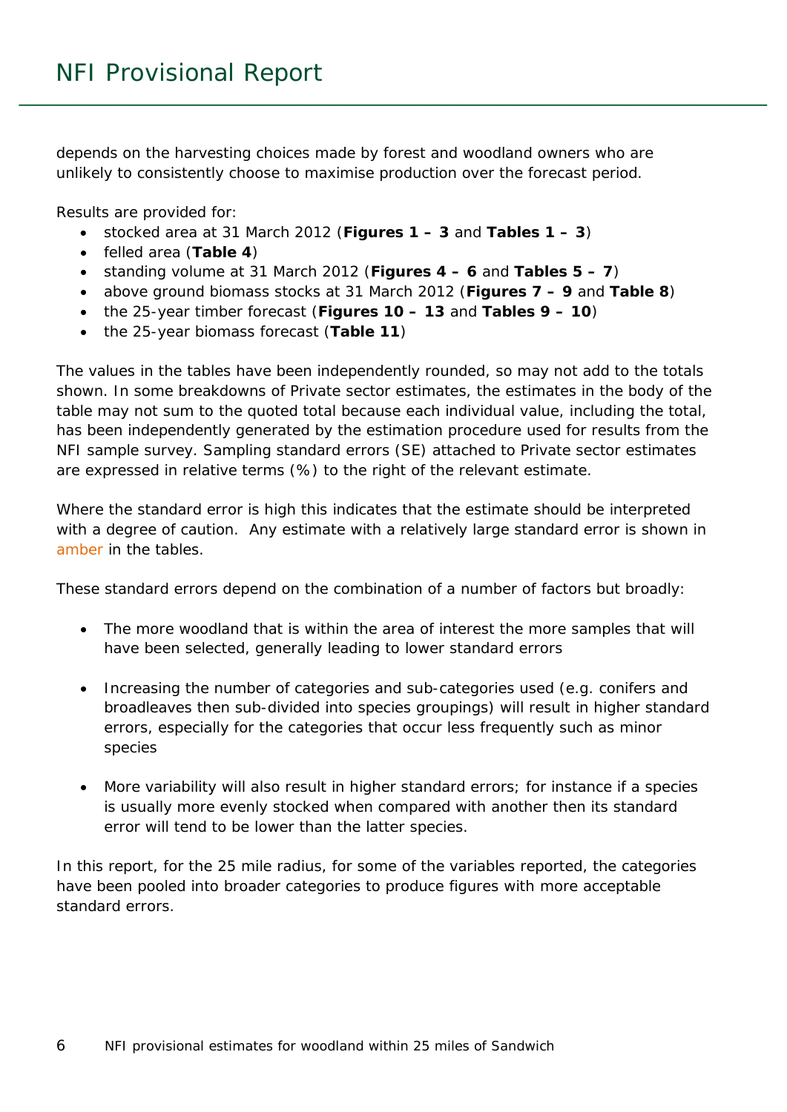depends on the harvesting choices made by forest and woodland owners who are unlikely to consistently choose to maximise production over the forecast period.

Results are provided for:

- stocked area at 31 March 2012 (**Figures 1 – 3** and **Tables 1 – 3**)
- felled area (**Table 4**)
- standing volume at 31 March 2012 (**Figures 4 – 6** and **Tables 5 – 7**)
- above ground biomass stocks at 31 March 2012 (**Figures 7 – 9** and **Table 8**)
- the 25-year timber forecast (**Figures 10 – 13** and **Tables 9 – 10**)
- the 25-year biomass forecast (**Table 11**)

The values in the tables have been independently rounded, so may not add to the totals shown. In some breakdowns of Private sector estimates, the estimates in the body of the table may not sum to the quoted total because each individual value, including the total, has been independently generated by the estimation procedure used for results from the NFI sample survey. Sampling standard errors (SE) attached to Private sector estimates are expressed in relative terms (%) to the right of the relevant estimate.

Where the standard error is high this indicates that the estimate should be interpreted with a degree of caution. Any estimate with a relatively large standard error is shown in amber in the tables.

These standard errors depend on the combination of a number of factors but broadly:

- The more woodland that is within the area of interest the more samples that will have been selected, generally leading to lower standard errors
- Increasing the number of categories and sub-categories used (e.g. conifers and broadleaves then sub-divided into species groupings) will result in higher standard errors, especially for the categories that occur less frequently such as minor species
- More variability will also result in higher standard errors; for instance if a species is usually more evenly stocked when compared with another then its standard error will tend to be lower than the latter species.

In this report, for the 25 mile radius, for some of the variables reported, the categories have been pooled into broader categories to produce figures with more acceptable standard errors.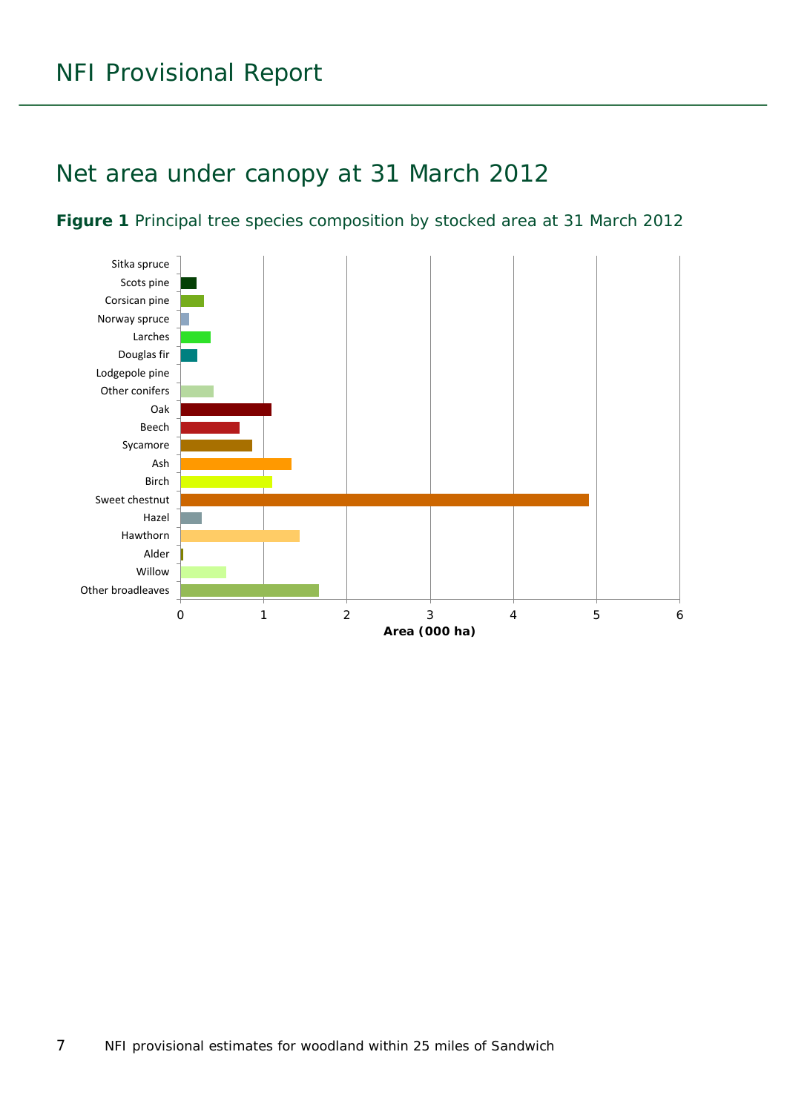### <span id="page-6-0"></span>Net area under canopy at 31 March 2012

<span id="page-6-1"></span>

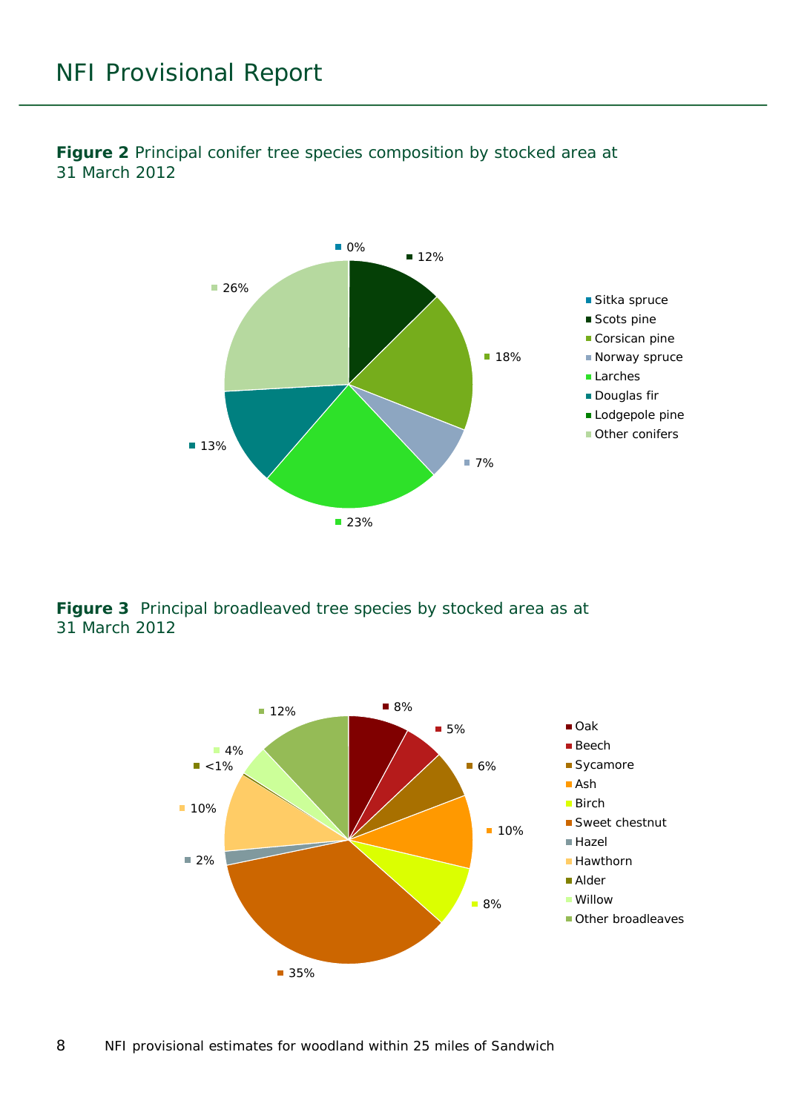

<span id="page-7-0"></span>**Figure 2** Principal conifer tree species composition by stocked area at 31 March 2012

<span id="page-7-1"></span>**Figure 3** Principal broadleaved tree species by stocked area as at 31 March 2012

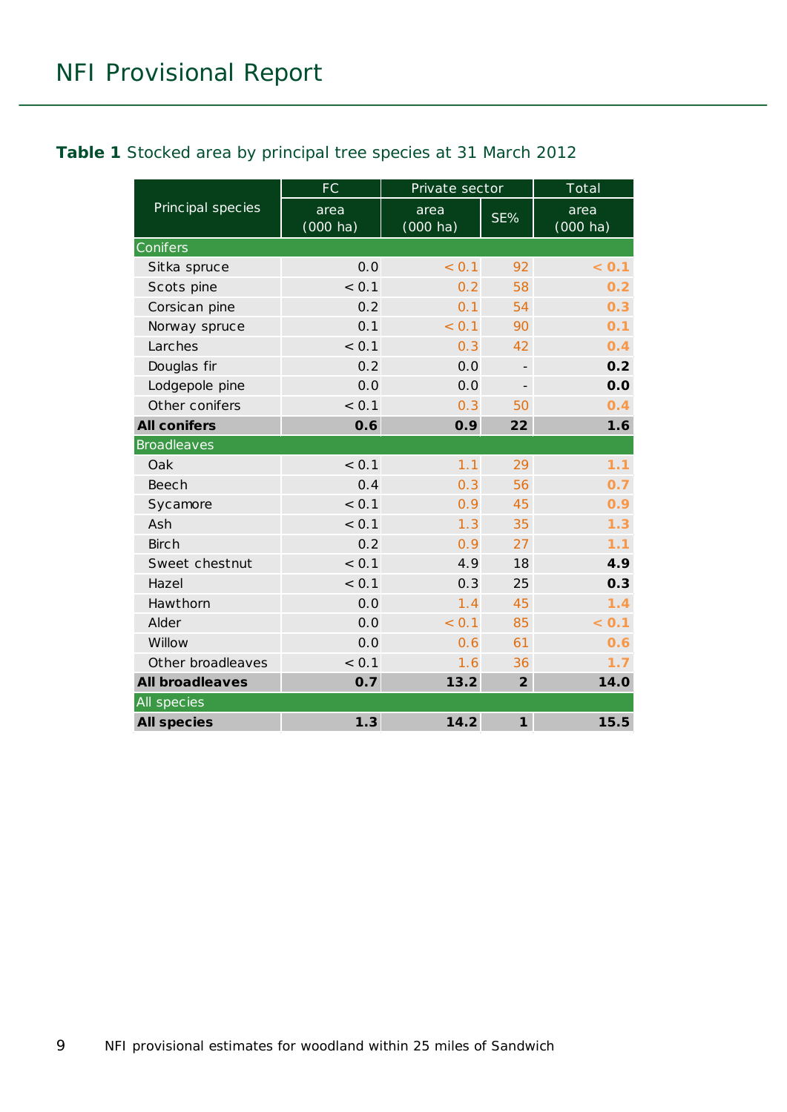#### <span id="page-8-0"></span>**Table 1** Stocked area by principal tree species at 31 March 2012

|                        | <b>FC</b>                  | Private sector     |                   | Total                      |
|------------------------|----------------------------|--------------------|-------------------|----------------------------|
| Principal species      | area<br>$(000 \text{ ha})$ | area<br>$(000$ ha) | SE%               | area<br>$(000 \text{ ha})$ |
| Conifers               |                            |                    |                   |                            |
| Sitka spruce           | 0.0                        | < 0.1              | 92                | < 0.1                      |
| Scots pine             | < 0.1                      | 0.2                | 58                | 0.2                        |
| Corsican pine          | 0.2                        | 0.1                | 54                | 0.3                        |
| Norway spruce          | 0.1                        | < 0.1              | 90                | 0.1                        |
| Larches                | < 0.1                      | 0.3                | 42                | 0.4                        |
| Douglas fir            | 0.2                        | 0.0                |                   | 0.2                        |
| Lodgepole pine         | 0.0                        | 0.0                | $\qquad \qquad -$ | 0.0                        |
| Other conifers         | < 0.1                      | 0.3                | 50                | 0.4                        |
| <b>All conifers</b>    | 0.6                        | 0.9                | 22                | 1.6                        |
| <b>Broadleaves</b>     |                            |                    |                   |                            |
| Oak                    | < 0.1                      | 1.1                | 29                | 1.1                        |
| Beech                  | 0.4                        | 0.3                | 56                | 0.7                        |
| Sycamore               | < 0.1                      | 0.9                | 45                | 0.9                        |
| Ash                    | < 0.1                      | 1.3                | 35                | 1.3                        |
| <b>Birch</b>           | 0.2                        | 0.9                | 27                | 1.1                        |
| Sweet chestnut         | < 0.1                      | 4.9                | 18                | 4.9                        |
| Hazel                  | < 0.1                      | 0.3                | 25                | 0.3                        |
| Hawthorn               | 0.0                        | 1.4                | 45                | 1.4                        |
| Alder                  | 0.0                        | < 0.1              | 85                | < 0.1                      |
| Willow                 | 0.0                        | 0.6                | 61                | 0.6                        |
| Other broadleaves      | < 0.1                      | 1.6                | 36                | 1.7                        |
| <b>All broadleaves</b> | 0.7                        | 13.2               | $\overline{2}$    | 14.0                       |
| All species            |                            |                    |                   |                            |
| <b>All species</b>     | 1.3                        | 14.2               | $\mathbf{1}$      | 15.5                       |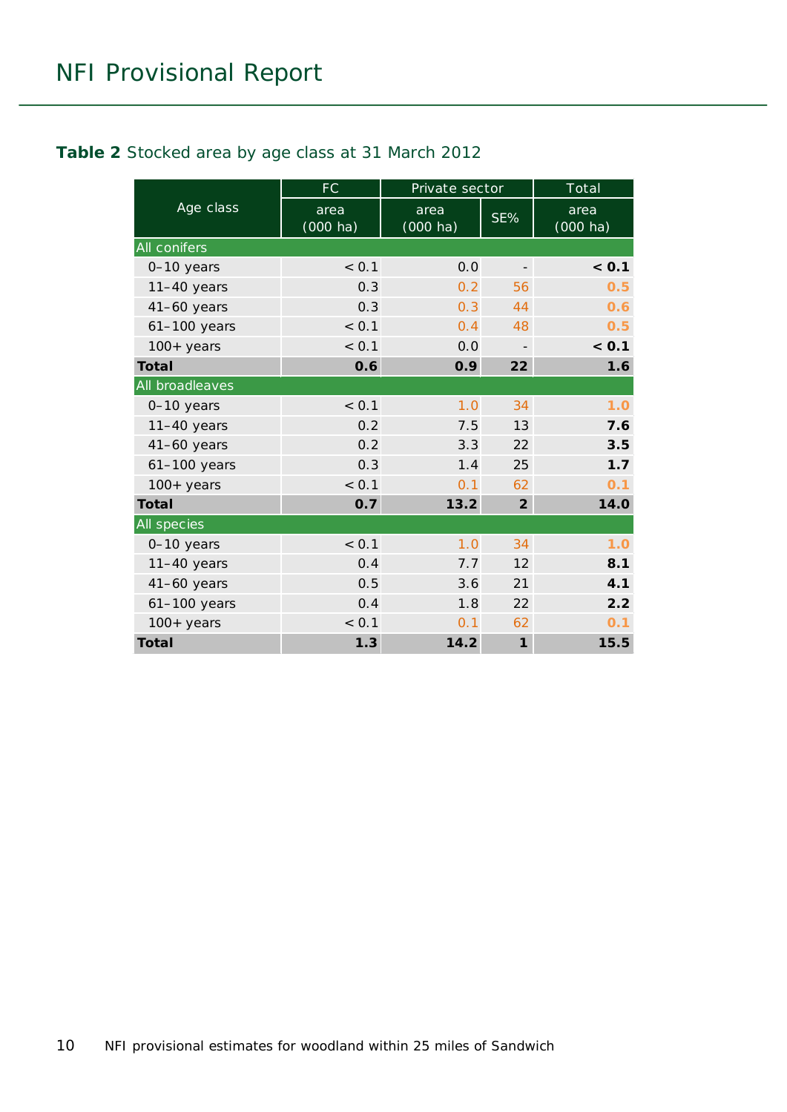#### <span id="page-9-0"></span>**Table 2** Stocked area by age class at 31 March 2012

|                 | <b>FC</b>                  | Private sector             |                          | Total                      |
|-----------------|----------------------------|----------------------------|--------------------------|----------------------------|
| Age class       | area<br>$(000 \text{ ha})$ | area<br>$(000 \text{ ha})$ | SE%                      | area<br>$(000 \text{ ha})$ |
| All conifers    |                            |                            |                          |                            |
| 0-10 years      | < 0.1                      | 0.0                        | $\overline{\phantom{a}}$ | < 0.1                      |
| $11-40$ years   | 0.3                        | $0.2^{\circ}$              | 56                       | 0.5                        |
| $41-60$ years   | 0.3                        | 0.3                        | 44                       | 0.6                        |
| $61-100$ years  | < 0.1                      | 0.4                        | 48                       | 0.5                        |
| $100+years$     | < 0.1                      | 0.0                        |                          | < 0.1                      |
| <b>Total</b>    | 0.6                        | 0.9                        | 22                       | 1.6                        |
| All broadleaves |                            |                            |                          |                            |
| 0-10 years      | < 0.1                      | 1.0                        | 34                       | 1.0                        |
| $11-40$ years   | 0.2                        | 7.5                        | 13                       | 7.6                        |
| $41-60$ years   | 0.2                        | 3.3                        | 22                       | 3.5                        |
| $61-100$ years  | 0.3                        | 1.4                        | 25                       | 1.7                        |
| $100+years$     | < 0.1                      | 0.1                        | 62                       | 0.1                        |
| <b>Total</b>    | 0.7                        | 13.2                       | $\overline{2}$           | 14.0                       |
| All species     |                            |                            |                          |                            |
| 0-10 years      | < 0.1                      | 1.0                        | 34                       | 1.0                        |
| $11-40$ years   | 0.4                        | 7.7                        | 12                       | 8.1                        |
| $41-60$ years   | 0.5                        | 3.6                        | 21                       | 4.1                        |
| $61-100$ years  | 0.4                        | 1.8                        | 22                       | 2.2                        |
| $100 + years$   | < 0.1                      | 0.1                        | 62                       | 0.1                        |
| Total           | 1.3                        | 14.2                       | $\mathbf{1}$             | 15.5                       |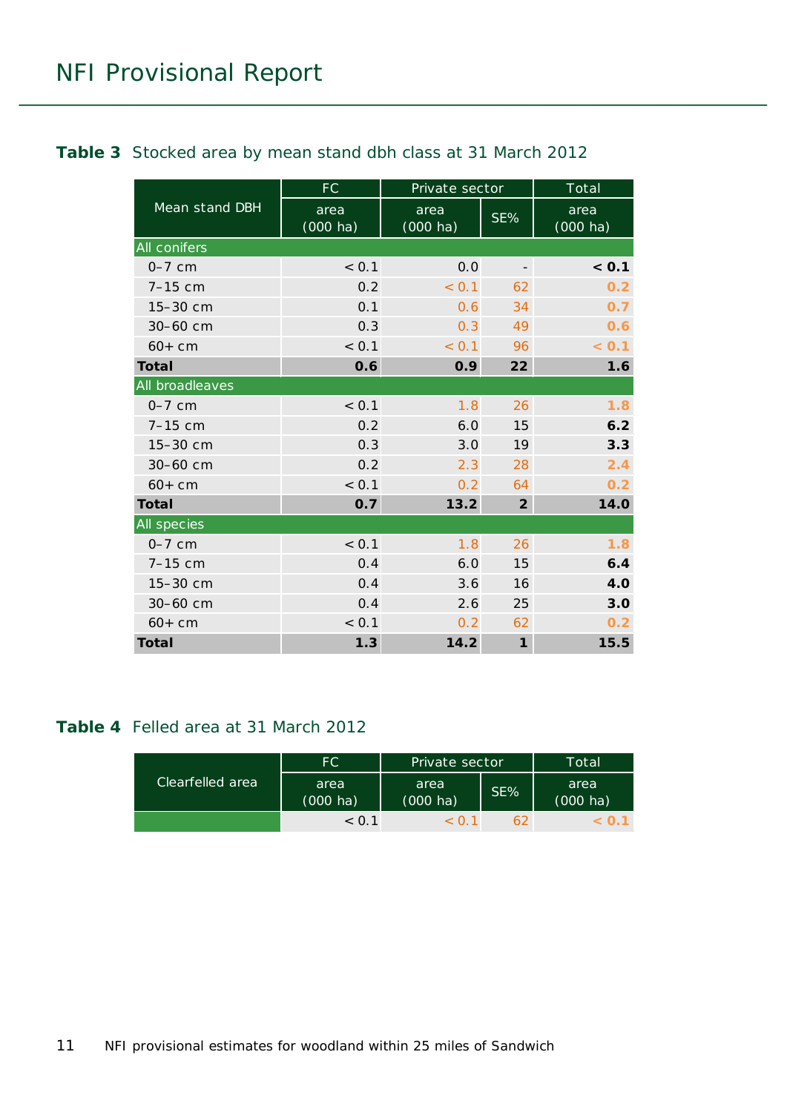#### <span id="page-10-0"></span>**Table 3** Stocked area by mean stand dbh class at 31 March 2012

|                     | <b>FC</b>                  | Private sector             |                          | Total                      |
|---------------------|----------------------------|----------------------------|--------------------------|----------------------------|
| Mean stand DBH      | area<br>$(000 \text{ ha})$ | area<br>$(000 \text{ ha})$ | SE%                      | area<br>$(000 \text{ ha})$ |
| <b>All conifers</b> |                            |                            |                          |                            |
| $0-7$ cm            | < 0.1                      | 0.0                        | $\overline{\phantom{a}}$ | < 0.1                      |
| $7-15$ cm           | 0.2                        | < 0.1                      | 62                       | 0.2                        |
| 15-30 cm            | 0.1                        | 0.6                        | 34                       | 0.7                        |
| 30-60 cm            | 0.3                        | 0.3                        | 49                       | 0.6                        |
| $60+cm$             | < 0.1                      | < 0.1                      | 96                       | < 0.1                      |
| Total               | 0.6                        | 0.9                        | 22                       | 1.6                        |
| All broadleaves     |                            |                            |                          |                            |
| $0-7$ cm            | < 0.1                      | 1.8                        | 26                       | 1.8                        |
| $7-15$ cm           | 0.2                        | 6.0                        | 15                       | 6.2                        |
| 15-30 cm            | 0.3                        | 3.0                        | 19                       | 3.3                        |
| 30-60 cm            | 0.2                        | 2.3                        | 28                       | 2.4                        |
| $60+cm$             | < 0.1                      | 0.2                        | 64                       | 0.2                        |
| <b>Total</b>        | 0.7                        | 13.2                       | $\overline{2}$           | 14.0                       |
| All species         |                            |                            |                          |                            |
| $0-7$ cm            | < 0.1                      | 1.8                        | 26                       | 1.8                        |
| $7-15$ cm           | 0.4                        | 6.0                        | 15                       | 6.4                        |
| 15-30 cm            | 0.4                        | 3.6                        | 16                       | 4.0                        |
| 30-60 cm            | 0.4                        | 2.6                        | 25                       | 3.0                        |
| $60 + cm$           | < 0.1                      | 0.2                        | 62                       | 0.2                        |
| Total               | 1.3                        | 14.2                       | $\boldsymbol{\eta}$      | 15.5                       |

#### <span id="page-10-1"></span>**Table 4** Felled area at 31 March 2012

|                  | FC.                        | Private sector             |        | Total                      |
|------------------|----------------------------|----------------------------|--------|----------------------------|
| Clearfelled area | area<br>$(000 \text{ ha})$ | area<br>$(000 \text{ ha})$ | $SE\%$ | area<br>$(000 \text{ ha})$ |
|                  | < 0.1                      |                            | 62     |                            |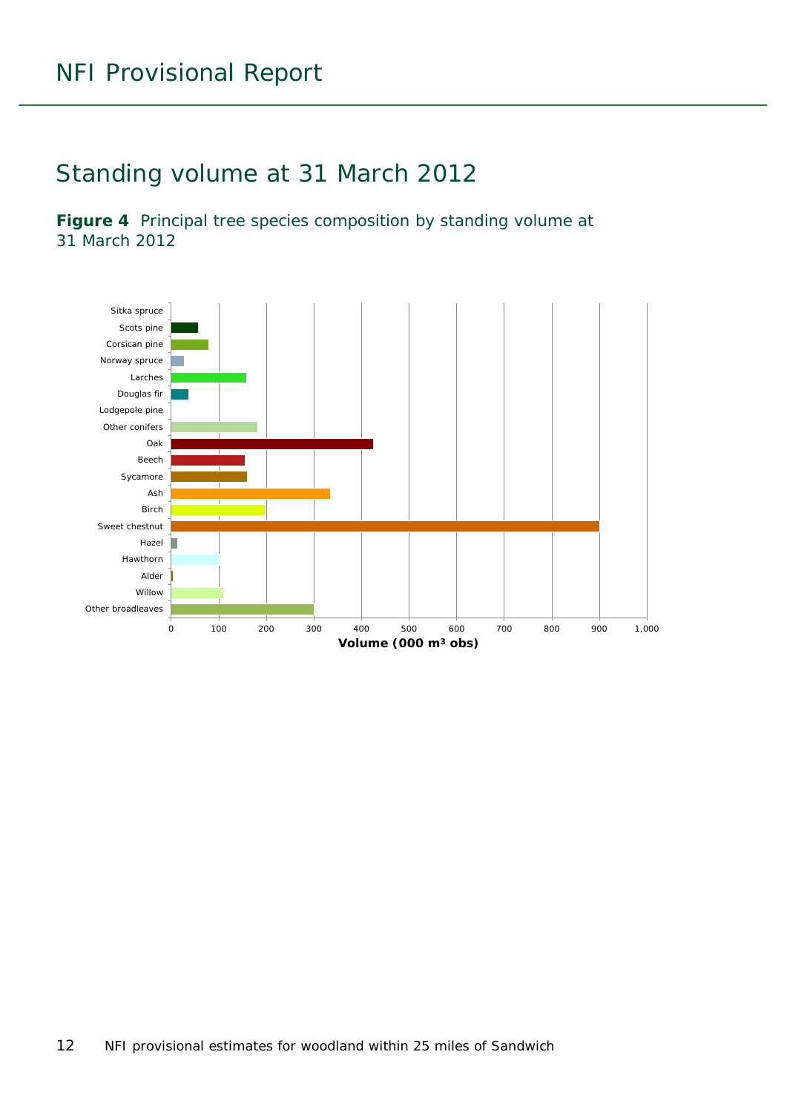## <span id="page-11-0"></span>Standing volume at 31 March 2012

<span id="page-11-1"></span>**Figure 4** Principal tree species composition by standing volume at 31 March 2012

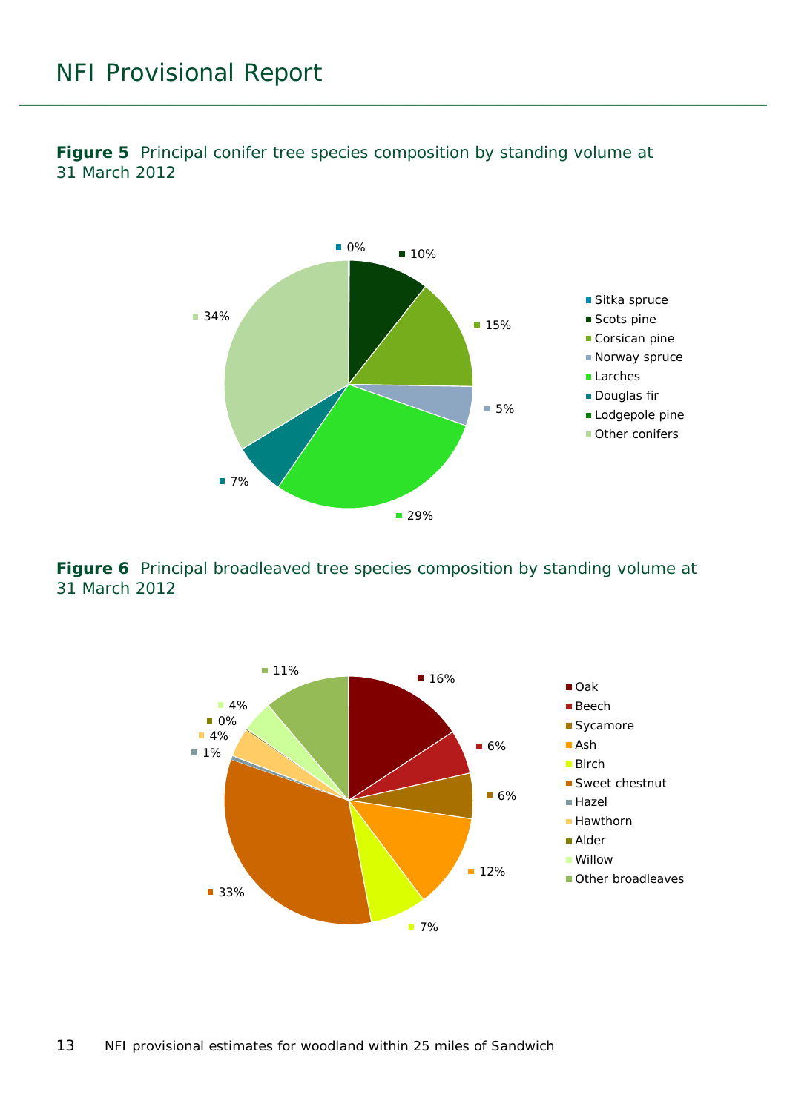<span id="page-12-0"></span>**Figure 5** Principal conifer tree species composition by standing volume at 31 March 2012



<span id="page-12-1"></span>**Figure 6** Principal broadleaved tree species composition by standing volume at 31 March 2012

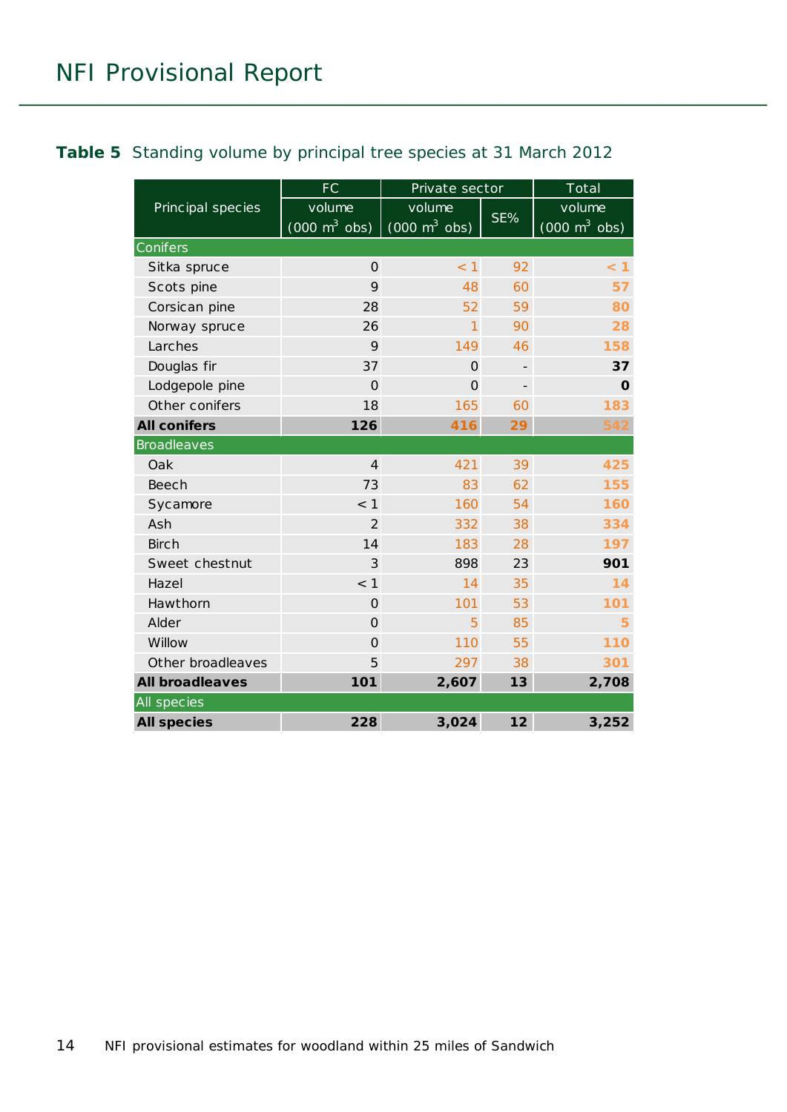#### <span id="page-13-0"></span>**Table 5** Standing volume by principal tree species at 31 March 2012

|                        | FC                                            | Private sector                                |     | Total                                         |
|------------------------|-----------------------------------------------|-----------------------------------------------|-----|-----------------------------------------------|
| Principal species      | volume<br>$(000 \; \text{m}^3 \; \text{obs})$ | volume<br>$(000 \; \text{m}^3 \; \text{obs})$ | SE% | volume<br>$(000 \; \text{m}^3 \; \text{obs})$ |
| Conifers               |                                               |                                               |     |                                               |
| Sitka spruce           | $\Omega$                                      | < 1                                           | 92  | < 1                                           |
| Scots pine             | 9                                             | 48                                            | 60  | 57                                            |
| Corsican pine          | 28                                            | 52                                            | 59  | 80                                            |
| Norway spruce          | 26                                            | 1                                             | 90  | 28                                            |
| Larches                | 9                                             | 149                                           | 46  | 158                                           |
| Douglas fir            | 37                                            | $\mathbf{O}$                                  |     | 37                                            |
| Lodgepole pine         | $\Omega$                                      | $\Omega$                                      |     | $\mathbf O$                                   |
| Other conifers         | 18                                            | 165                                           | 60  | 183                                           |
| <b>All conifers</b>    | 126                                           | 416                                           | 29  | 542                                           |
| <b>Broadleaves</b>     |                                               |                                               |     |                                               |
| Oak                    | $\overline{4}$                                | 421                                           | 39  | 425                                           |
| <b>Beech</b>           | 73                                            | 83                                            | 62  | 155                                           |
| Sycamore               | $<$ 1                                         | 160                                           | 54  | 160                                           |
| Ash                    | $\overline{2}$                                | 332                                           | 38  | 334                                           |
| <b>Birch</b>           | 14                                            | 183                                           | 28  | 197                                           |
| Sweet chestnut         | 3                                             | 898                                           | 23  | 901                                           |
| Hazel                  | < 1                                           | 14                                            | 35  | 14                                            |
| Hawthorn               | $\Omega$                                      | 101                                           | 53  | 101                                           |
| Alder                  | $\Omega$                                      | 5                                             | 85  | 5                                             |
| Willow                 | $\Omega$                                      | 110                                           | 55  | 110                                           |
| Other broadleaves      | 5                                             | 297                                           | 38  | 301                                           |
| <b>All broadleaves</b> | 101                                           | 2,607                                         | 13  | 2,708                                         |
| All species            |                                               |                                               |     |                                               |
| <b>All species</b>     | 228                                           | 3,024                                         | 12  | 3,252                                         |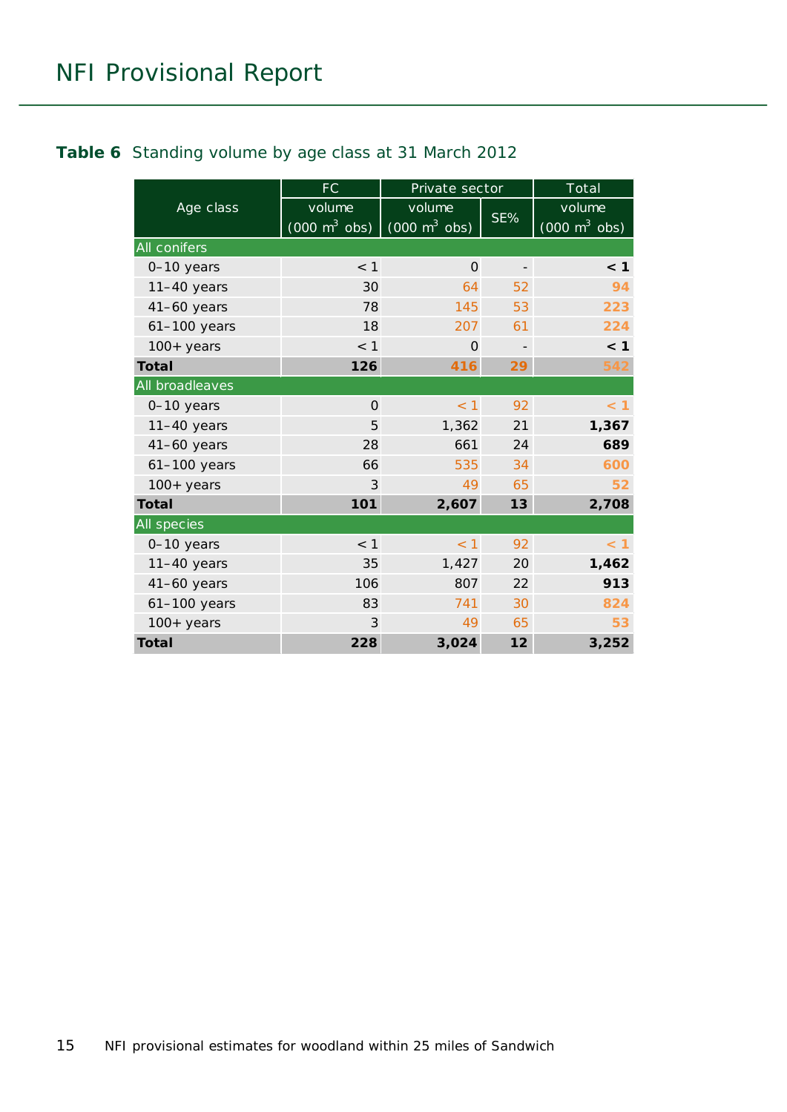#### <span id="page-14-0"></span>**Table 6** Standing volume by age class at 31 March 2012

|                 | <b>FC</b>                             | Private sector                  |     | Total                               |
|-----------------|---------------------------------------|---------------------------------|-----|-------------------------------------|
| Age class       | volume                                | volume                          |     | volume                              |
|                 | $(000 \overline{m^3} \overline{obs})$ | $(000 \text{ m}^3 \text{ obs})$ | SE% | $(000 \; \text{m}^3 \; \text{obs})$ |
| All conifers    |                                       |                                 |     |                                     |
| 0-10 years      | < 1                                   | $\Omega$                        |     | < 1                                 |
| $11-40$ years   | 30                                    | 64                              | 52  | 94                                  |
| $41-60$ years   | 78                                    | 145                             | 53  | 223                                 |
| 61-100 years    | 18                                    | 207                             | 61  | 224                                 |
| $100+$ years    | $<$ 1                                 | 0                               |     | < 1                                 |
| Total           | 126                                   | 416                             | 29  | 542                                 |
| All broadleaves |                                       |                                 |     |                                     |
| 0-10 years      | $\Omega$                              | < 1                             | 92  | $<$ 1                               |
| $11-40$ years   | 5                                     | 1,362                           | 21  | 1,367                               |
| $41-60$ years   | 28                                    | 661                             | 24  | 689                                 |
| $61-100$ years  | 66                                    | 535                             | 34  | 600                                 |
| $100+years$     | 3                                     | 49                              | 65  | 52                                  |
| <b>Total</b>    | 101                                   | 2,607                           | 13  | 2,708                               |
| All species     |                                       |                                 |     |                                     |
| 0-10 years      | < 1                                   | < 1                             | 92  | < 1                                 |
| $11-40$ years   | 35                                    | 1,427                           | 20  | 1,462                               |
| $41-60$ years   | 106                                   | 807                             | 22  | 913                                 |
| $61-100$ years  | 83                                    | 741                             | 30  | 824                                 |
| $100+years$     | 3                                     | 49                              | 65  | 53                                  |
| Total           | 228                                   | 3,024                           | 12  | 3,252                               |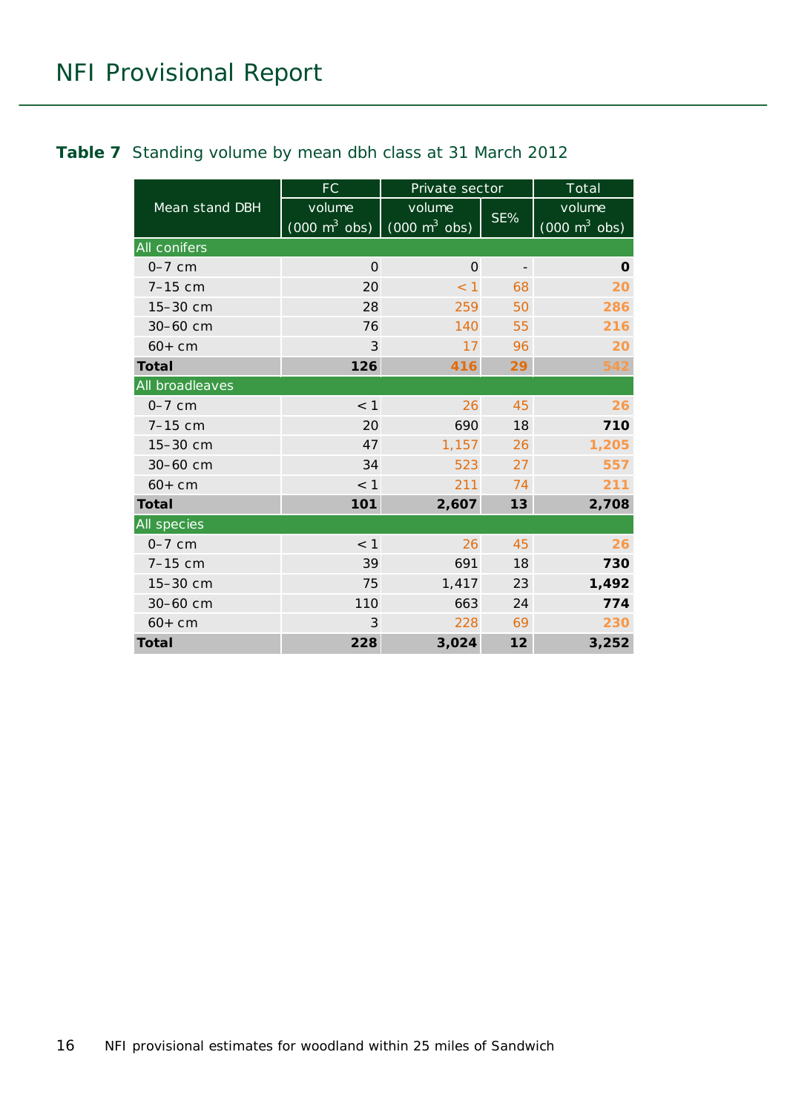#### <span id="page-15-0"></span>**Table 7** Standing volume by mean dbh class at 31 March 2012

|                 | <b>FC</b>                                 | Private sector                            |                          | Total                                     |
|-----------------|-------------------------------------------|-------------------------------------------|--------------------------|-------------------------------------------|
| Mean stand DBH  | volume<br>$(000 \text{ m}^3 \text{ obs})$ | volume<br>$(000 \text{ m}^3 \text{ obs})$ | SE%                      | volume<br>$(000 \text{ m}^3 \text{ obs})$ |
| All conifers    |                                           |                                           |                          |                                           |
| $0-7$ cm        | $\Omega$                                  | $\mathbf{O}$                              | $\overline{\phantom{0}}$ | $\mathbf 0$                               |
| $7-15$ cm       | 20                                        | $<$ 1                                     | 68                       | 20                                        |
| 15-30 cm        | 28                                        | 259                                       | 50                       | 286                                       |
| 30-60 cm        | 76                                        | 140                                       | 55                       | 216                                       |
| $60+cm$         | 3                                         | 17                                        | 96                       | 20                                        |
| Total           | 126                                       | 416                                       | 29                       | 542                                       |
| All broadleaves |                                           |                                           |                          |                                           |
| $0-7$ cm        | < 1                                       | 26                                        | 45                       | 26                                        |
| $7-15$ cm       | 20                                        | 690                                       | 18                       | 710                                       |
| 15-30 cm        | 47                                        | 1,157                                     | 26                       | 1,205                                     |
| 30-60 cm        | 34                                        | 523                                       | 27                       | 557                                       |
| $60+cm$         | $<$ 1                                     | 211                                       | 74                       | 211                                       |
| Total           | 101                                       | 2,607                                     | 13                       | 2,708                                     |
| All species     |                                           |                                           |                          |                                           |
| $0-7$ cm        | $<$ 1                                     | 26                                        | 45                       | 26                                        |
| 7-15 cm         | 39                                        | 691                                       | 18                       | 730                                       |
| 15-30 cm        | 75                                        | 1,417                                     | 23                       | 1,492                                     |
| 30-60 cm        | 110                                       | 663                                       | 24                       | 774                                       |
| $60 + cm$       | 3                                         | 228                                       | 69                       | 230                                       |
| Total           | 228                                       | 3,024                                     | 12                       | 3,252                                     |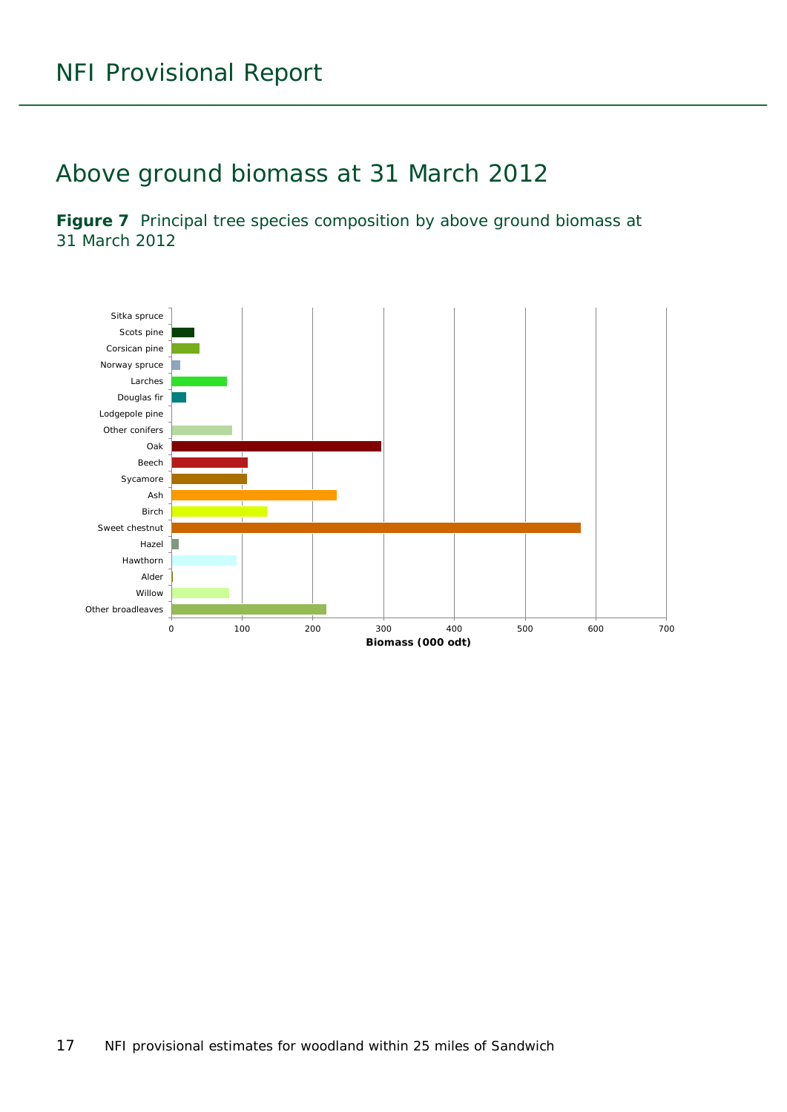### <span id="page-16-0"></span>Above ground biomass at 31 March 2012

<span id="page-16-1"></span>Figure 7 Principal tree species composition by above ground biomass at 31 March 2012

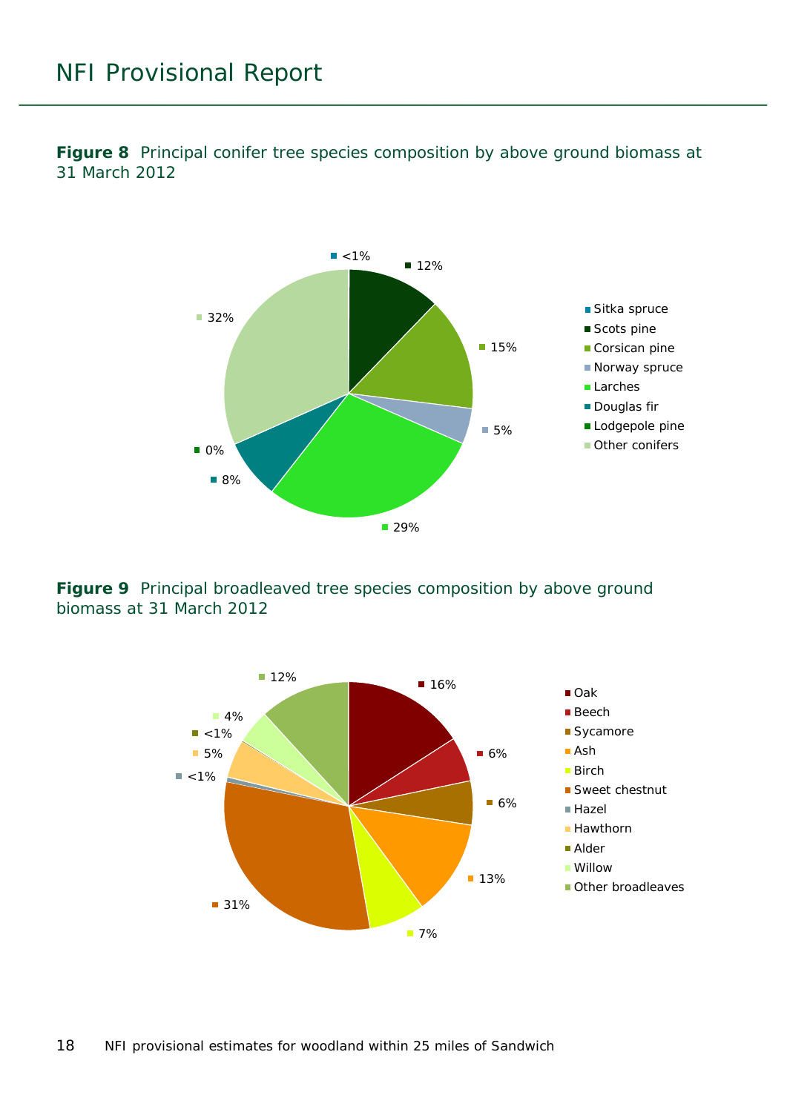<span id="page-17-0"></span>**Figure 8** Principal conifer tree species composition by above ground biomass at 31 March 2012



<span id="page-17-1"></span>**Figure 9** Principal broadleaved tree species composition by above ground biomass at 31 March 2012

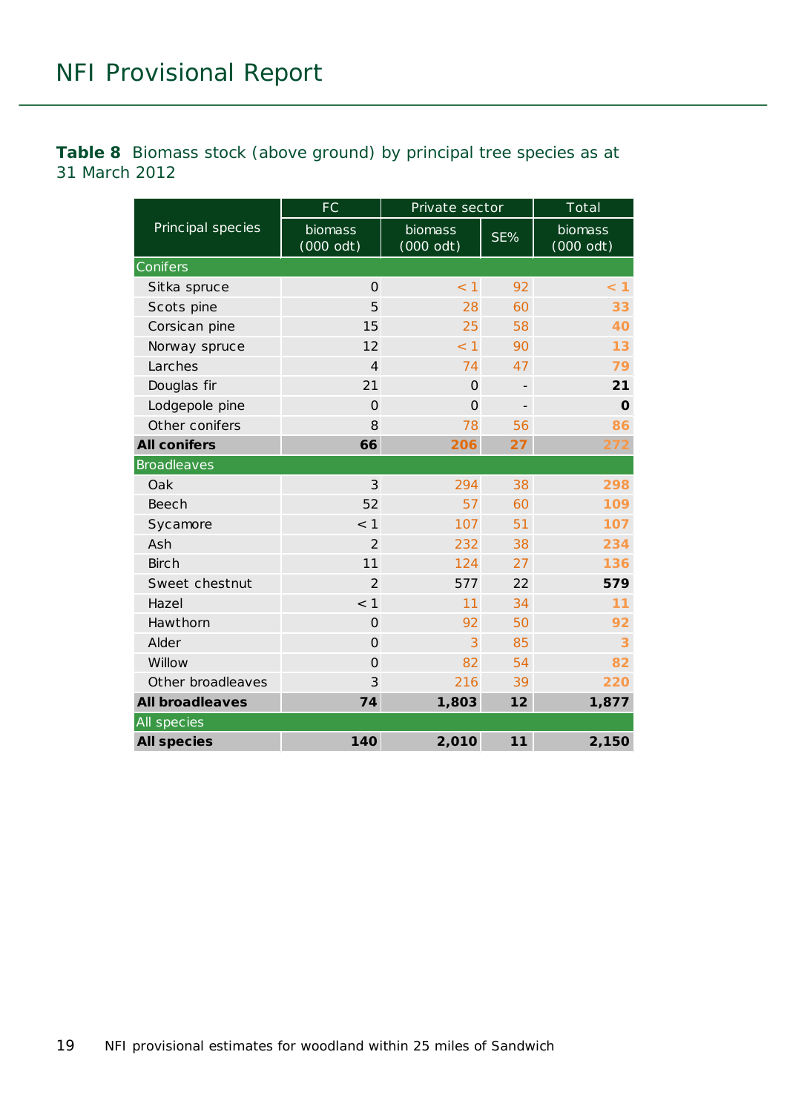<span id="page-18-0"></span>**Table 8** Biomass stock (above ground) by principal tree species as at 31 March 2012

|                        | <b>FC</b>              | Private sector                |     | Total                  |
|------------------------|------------------------|-------------------------------|-----|------------------------|
| Principal species      | biomass<br>$(000$ odt) | <b>biomass</b><br>$(000$ odt) | SE% | biomass<br>$(000$ odt) |
| Conifers               |                        |                               |     |                        |
| Sitka spruce           | $\Omega$               | < 1                           | 92  | < 1                    |
| Scots pine             | 5                      | 28                            | 60  | 33                     |
| Corsican pine          | 15                     | 25                            | 58  | 40                     |
| Norway spruce          | 12                     | < 1                           | 90  | 13                     |
| Larches                | $\overline{4}$         | 74                            | 47  | 79                     |
| Douglas fir            | 21                     | $\Omega$                      |     | 21                     |
| Lodgepole pine         | $\mathbf 0$            | $\Omega$                      |     | $\mathbf 0$            |
| Other conifers         | 8                      | 78                            | 56  | 86                     |
| <b>All conifers</b>    | 66                     | 206                           | 27  | 272                    |
| <b>Broadleaves</b>     |                        |                               |     |                        |
| Oak                    | 3                      | 294                           | 38  | 298                    |
| <b>Beech</b>           | 52                     | 57                            | 60  | 109                    |
| Sycamore               | $<$ 1                  | 107                           | 51  | 107                    |
| Ash                    | $\overline{2}$         | 232                           | 38  | 234                    |
| <b>Birch</b>           | 11                     | 124                           | 27  | 136                    |
| Sweet chestnut         | $\overline{2}$         | 577                           | 22  | 579                    |
| Hazel                  | < 1                    | 11                            | 34  | 11                     |
| Hawthorn               | $\mathbf 0$            | 92                            | 50  | 92                     |
| Alder                  | $\Omega$               | 3                             | 85  | 3                      |
| Willow                 | $\Omega$               | 82                            | 54  | 82                     |
| Other broadleaves      | 3                      | 216                           | 39  | 220                    |
| <b>All broadleaves</b> | 74                     | 1,803                         | 12  | 1,877                  |
| All species            |                        |                               |     |                        |
| <b>All species</b>     | 140                    | 2,010                         | 11  | 2,150                  |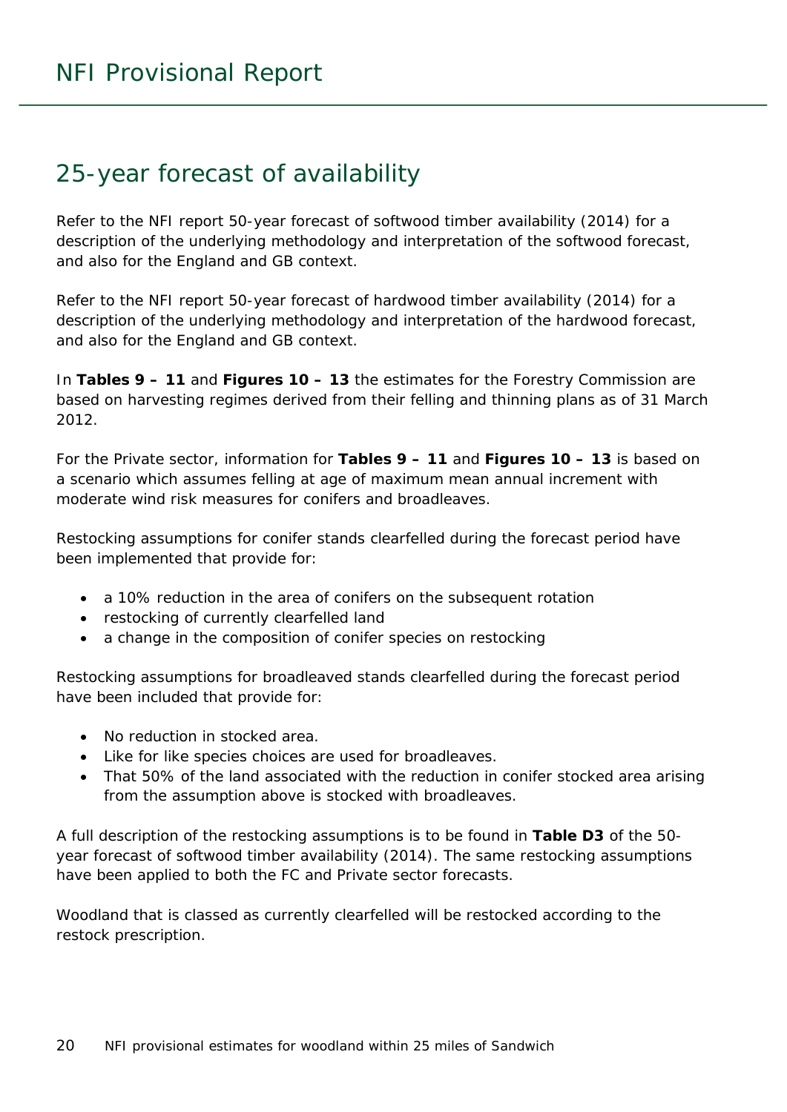### <span id="page-19-0"></span>25-year forecast of availability

Refer to the NFI report *50-year forecast of softwood timber availability* (2014) for a description of the underlying methodology and interpretation of the softwood forecast, and also for the England and GB context.

Refer to the NFI report *50-year forecast of hardwood timber availability* (2014) for a description of the underlying methodology and interpretation of the hardwood forecast, and also for the England and GB context.

In **Tables 9 – 11** and **Figures 10 – 13** the estimates for the Forestry Commission are based on harvesting regimes derived from their felling and thinning plans as of 31 March 2012.

For the Private sector, information for **Tables 9 – 11** and **Figures 10 – 13** is based on a scenario which assumes felling at age of maximum mean annual increment with moderate wind risk measures for conifers and broadleaves.

Restocking assumptions for conifer stands clearfelled during the forecast period have been implemented that provide for:

- a 10% reduction in the area of conifers on the subsequent rotation
- restocking of currently clearfelled land
- a change in the composition of conifer species on restocking

Restocking assumptions for broadleaved stands clearfelled during the forecast period have been included that provide for:

- No reduction in stocked area.
- Like for like species choices are used for broadleaves.
- That 50% of the land associated with the reduction in conifer stocked area arising from the assumption above is stocked with broadleaves.

A full description of the restocking assumptions is to be found in **Table D3** of the *50 year forecast of softwood timber availability* (2014). The same restocking assumptions have been applied to both the FC and Private sector forecasts.

Woodland that is classed as currently clearfelled will be restocked according to the restock prescription.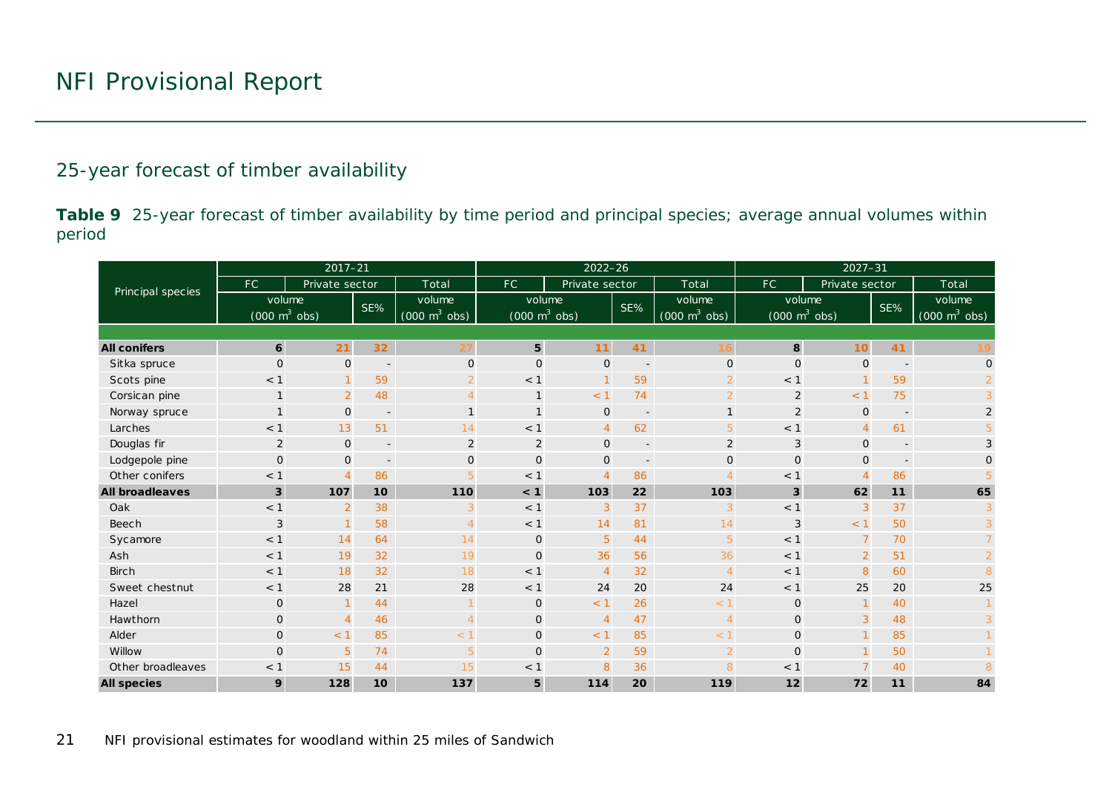#### 25-year forecast of timber availability

**Table 9** 25-year forecast of timber availability by time period and principal species; average annual volumes within period

<span id="page-20-0"></span>

|                        |                                     | $2017 - 21$    |                          |                                     |                                     | $2022 - 26$    |                          |                                     | $2027 - 31$                         |                |                          |                                 |  |  |
|------------------------|-------------------------------------|----------------|--------------------------|-------------------------------------|-------------------------------------|----------------|--------------------------|-------------------------------------|-------------------------------------|----------------|--------------------------|---------------------------------|--|--|
| Principal species      | FC.                                 | Private sector |                          | Total                               | FC.                                 | Private sector |                          | Total                               | FC.                                 | Private sector |                          | Total                           |  |  |
|                        | volume                              |                | SE%                      | volume                              | volume                              |                | SE%                      | volume                              | volume                              |                | SE%                      | volume                          |  |  |
|                        | $(000 \; \text{m}^3 \; \text{obs})$ |                |                          | $(000 \; \text{m}^3 \; \text{obs})$ | $(000 \; \text{m}^3 \; \text{obs})$ |                |                          | $(000 \; \text{m}^3 \; \text{obs})$ | $(000 \; \text{m}^3 \; \text{obs})$ |                |                          | $(000 \text{ m}^3 \text{ obs})$ |  |  |
|                        |                                     |                |                          |                                     |                                     |                |                          |                                     |                                     |                |                          |                                 |  |  |
| <b>All conifers</b>    | $6\overline{6}$                     | 21             | 32 <sub>2</sub>          | 27                                  | $5\phantom{.0}$                     | 11             | 41                       | 16                                  | 8                                   | 10             | 41                       | 19                              |  |  |
| Sitka spruce           | $\Omega$                            | $\mathsf{O}$   | $\overline{\phantom{a}}$ | $\mathbf 0$                         | $\Omega$                            | $\mathbf 0$    | $\overline{\phantom{a}}$ | $\mathbf 0$                         | $\mathbf{O}$                        | $\mathbf{O}$   |                          | $\mathbf 0$                     |  |  |
| Scots pine             | $<$ 1                               | $\mathbf{1}$   | 59                       |                                     | < 1                                 | $\mathbf{1}$   | 59                       | $\overline{2}$                      | < 1                                 |                | 59                       | $\overline{2}$                  |  |  |
| Corsican pine          | 1                                   | $\overline{2}$ | 48                       | 4                                   | $\mathbf{1}$                        | < 1            | 74                       | $\overline{2}$                      | $\overline{2}$                      | < 1            | 75                       | 3                               |  |  |
| Norway spruce          | 1                                   | $\mathbf 0$    | $\overline{\phantom{a}}$ |                                     | $\mathbf{1}$                        | $\mathbf 0$    | $\overline{\phantom{a}}$ | $\mathbf{1}$                        | $\overline{2}$                      | $\mathbf 0$    | $\overline{\phantom{a}}$ | $\overline{c}$                  |  |  |
| Larches                | < 1                                 | 13             | 51                       | 14                                  | < 1                                 | $\overline{4}$ | 62                       | 5                                   | < 1                                 | $\overline{4}$ | 61                       | 5                               |  |  |
| Douglas fir            | 2                                   | $\mathsf{O}$   | $\overline{\phantom{a}}$ | 2                                   | 2                                   | $\mathbf 0$    | $\overline{\phantom{a}}$ | 2                                   | $\sqrt{3}$                          | $\mathbf{O}$   | $\overline{\phantom{a}}$ | $\mathfrak{S}$                  |  |  |
| Lodgepole pine         | $\mathbf{O}$                        | $\mathbf 0$    | $\overline{\phantom{a}}$ | $\mathbf{O}$                        | $\Omega$                            | $\mathbf 0$    | $\overline{\phantom{a}}$ | $\mathsf{O}$                        | $\mathbf 0$                         | $\overline{O}$ |                          | $\mathbf 0$                     |  |  |
| Other conifers         | $<$ 1                               | $\overline{4}$ | 86                       | 5                                   | < 1                                 | $\overline{4}$ | 86                       | $\overline{A}$                      | < 1                                 | $\Delta$       | 86                       | 5                               |  |  |
| <b>All broadleaves</b> | 3                                   | 107            | 10                       | 110                                 | < 1                                 | 103            | 22                       | 103                                 | 3                                   | 62             | 11                       | 65                              |  |  |
| Oak                    | $<$ 1                               | $\overline{2}$ | 38                       | 3                                   | < 1                                 | 3              | 37                       | 3                                   | < 1                                 | 3              | 37                       | 3                               |  |  |
| Beech                  | 3                                   | $\mathbf{1}$   | 58                       | $\overline{4}$                      | < 1                                 | 14             | 81                       | 14                                  | 3                                   | < 1            | 50                       | 3                               |  |  |
| Sycamore               | < 1                                 | 14             | 64                       | 14                                  | $\mathbf 0$                         | 5              | 44                       | $5\phantom{.}$                      | < 1                                 | $\overline{7}$ | 70                       |                                 |  |  |
| Ash                    | < 1                                 | 19             | 32                       | 19                                  | $\Omega$                            | 36             | 56                       | 36                                  | < 1                                 | 2              | 51                       | $\overline{2}$                  |  |  |
| <b>Birch</b>           | $<$ 1                               | 18             | 32                       | 18                                  | < 1                                 | $\overline{4}$ | 32                       | $\overline{4}$                      | < 1                                 | 8              | 60                       | 8                               |  |  |
| Sweet chestnut         | < 1                                 | 28             | 21                       | 28                                  | < 1                                 | 24             | 20                       | 24                                  | < 1                                 | 25             | 20                       | 25                              |  |  |
| Hazel                  | 0                                   | $\mathbf{1}$   | 44                       |                                     | $\mathsf{O}$                        | < 1            | 26                       | < 1                                 | $\mathbf 0$                         |                | 40                       |                                 |  |  |
| Hawthorn               | $\mathbf{O}$                        | $\overline{4}$ | 46                       | $\overline{4}$                      | $\mathsf{O}$                        | $\overline{4}$ | 47                       | $\overline{4}$                      | $\mathbf 0$                         | 3              | 48                       |                                 |  |  |
| Alder                  | $\mathbf{O}$                        | < 1            | 85                       | $<$ 1                               | $\mathsf{O}$                        | < 1            | 85                       | < 1                                 | $\mathsf{O}$                        |                | 85                       |                                 |  |  |
| Willow                 | $\overline{O}$                      | 5 <sup>5</sup> | 74                       | 5                                   | $\Omega$                            | 2              | 59                       | 2                                   | $\mathbf{O}$                        |                | 50                       |                                 |  |  |
| Other broadleaves      | < 1                                 | 15             | 44                       | 15                                  | $<$ 1                               | 8              | 36                       | 8                                   | < 1                                 |                | 40                       |                                 |  |  |
| <b>All species</b>     | 9                                   | 128            | 10                       | 137                                 | 5                                   | 114            | 20                       | 119                                 | 12                                  | 72             | 11                       | 84                              |  |  |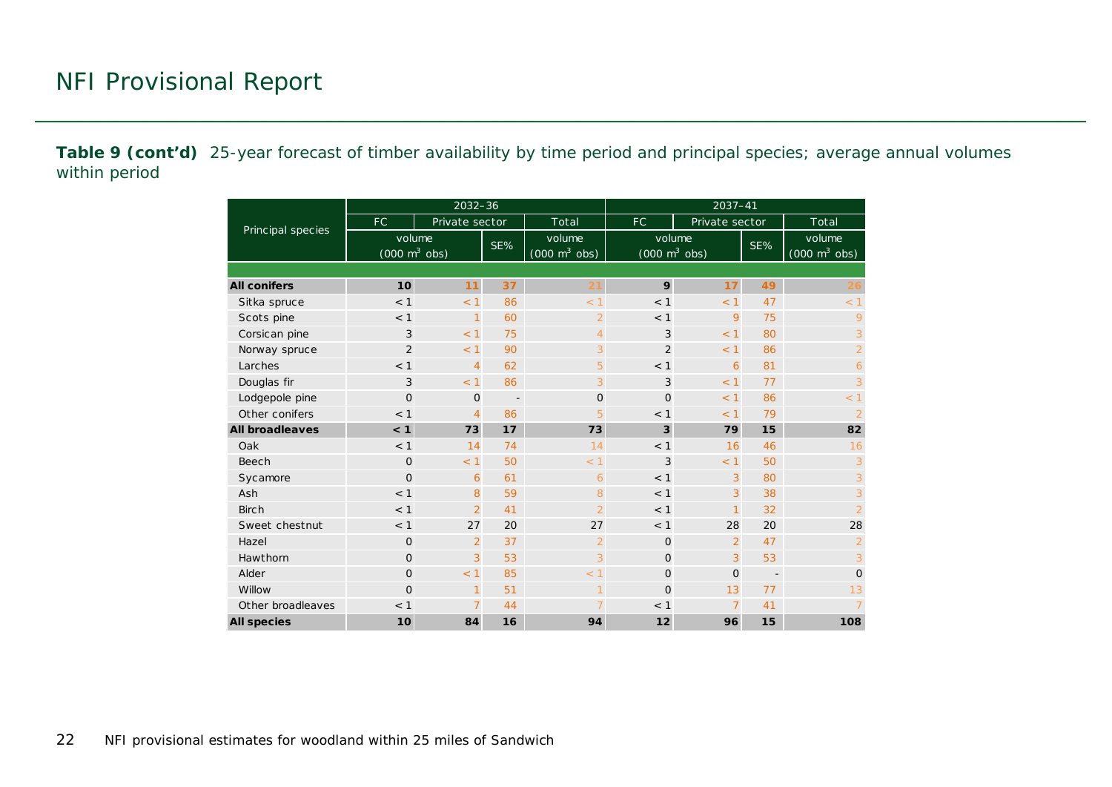**Table 9 (cont'd)** 25-year forecast of timber availability by time period and principal species; average annual volumes within period

|                        |                                           | $2032 - 36$    |                          |                                           | 2037-41                                       |                |                          |                                           |  |  |  |
|------------------------|-------------------------------------------|----------------|--------------------------|-------------------------------------------|-----------------------------------------------|----------------|--------------------------|-------------------------------------------|--|--|--|
|                        | FC.                                       | Private sector |                          | Total                                     | FC.                                           | Private sector |                          | Total                                     |  |  |  |
| Principal species      | volume<br>$(000 \text{ m}^3 \text{ obs})$ |                | SE%                      | volume<br>$(000 \text{ m}^3 \text{ obs})$ | volume<br>$(000 \; \text{m}^3 \; \text{obs})$ |                | SE%                      | volume<br>$(000 \text{ m}^3 \text{ obs})$ |  |  |  |
|                        |                                           |                |                          |                                           |                                               |                |                          |                                           |  |  |  |
| <b>All conifers</b>    | 10                                        | 11             | 37                       | 21                                        | 9                                             | 17             | 49                       | 26                                        |  |  |  |
| Sitka spruce           | < 1                                       | < 1            | 86                       | < 1                                       | < 1                                           | < 1            | 47                       | < 1                                       |  |  |  |
| Scots pine             | < 1                                       | 1              | 60                       | $\overline{2}$                            | < 1                                           | 9              | 75                       | 9                                         |  |  |  |
| Corsican pine          | 3                                         | < 1            | 75                       | $\overline{4}$                            | 3                                             | < 1            | 80                       | 3                                         |  |  |  |
| Norway spruce          | $\overline{2}$                            | < 1            | 90                       | 3                                         | $\overline{2}$                                | < 1            | 86                       | $\overline{2}$                            |  |  |  |
| Larches                | < 1                                       | $\overline{4}$ | 62                       | 5                                         | < 1                                           | 6              | 81                       | 6                                         |  |  |  |
| Douglas fir            | 3                                         | < 1            | 86                       | 3                                         | 3                                             | < 1            | 77                       | 3                                         |  |  |  |
| Lodgepole pine         | $\overline{O}$                            | $\mathbf{O}$   | $\overline{\phantom{a}}$ | $\Omega$                                  | $\Omega$                                      | < 1            | 86                       | < 1                                       |  |  |  |
| Other conifers         | < 1                                       | $\overline{4}$ | 86                       | 5                                         | < 1                                           | < 1            | 79                       | $\overline{2}$                            |  |  |  |
| <b>All broadleaves</b> | < 1                                       | 73             | 17                       | 73                                        | 3                                             | 79             | 15                       | 82                                        |  |  |  |
| Oak                    | < 1                                       | 14             | 74                       | 14                                        | < 1                                           | 16             | 46                       | 16                                        |  |  |  |
| Beech                  | $\Omega$                                  | < 1            | 50                       | < 1                                       | 3                                             | < 1            | 50                       | 3                                         |  |  |  |
| Sycamore               | $\overline{O}$                            | 6              | 61                       | 6                                         | < 1                                           | 3              | 80                       | 3                                         |  |  |  |
| Ash                    | < 1                                       | 8              | 59                       | 8                                         | < 1                                           | 3              | 38                       | 3                                         |  |  |  |
| <b>Birch</b>           | < 1                                       | $\overline{2}$ | 41                       | $\overline{2}$                            | < 1                                           | $\overline{1}$ | 32                       | $\overline{2}$                            |  |  |  |
| Sweet chestnut         | < 1                                       | 27             | 20                       | 27                                        | < 1                                           | 28             | 20                       | 28                                        |  |  |  |
| Hazel                  | $\mathbf{O}$                              | $\overline{2}$ | 37                       | $\overline{2}$                            | $\mathbf{O}$                                  | $\overline{2}$ | 47                       | $\overline{2}$                            |  |  |  |
| Hawthorn               | $\overline{O}$                            | 3              | 53                       | 3                                         | $\Omega$                                      | 3              | 53                       | 3                                         |  |  |  |
| Alder                  | $\overline{O}$                            | < 1            | 85                       | < 1                                       | $\mathbf{O}$                                  | $\Omega$       | $\overline{\phantom{a}}$ | $\mathbf 0$                               |  |  |  |
| Willow                 | $\overline{O}$                            | 1              | 51                       | $\overline{1}$                            | $\Omega$                                      | 13             | 77                       | 13                                        |  |  |  |
| Other broadleaves      | < 1                                       | $\overline{7}$ | 44                       |                                           | < 1                                           | $\overline{7}$ | 41                       | $\overline{7}$                            |  |  |  |
| <b>All species</b>     | 10 <sup>1</sup>                           | 84             | 16                       | 94                                        | 12                                            | 96             | 15                       | 108                                       |  |  |  |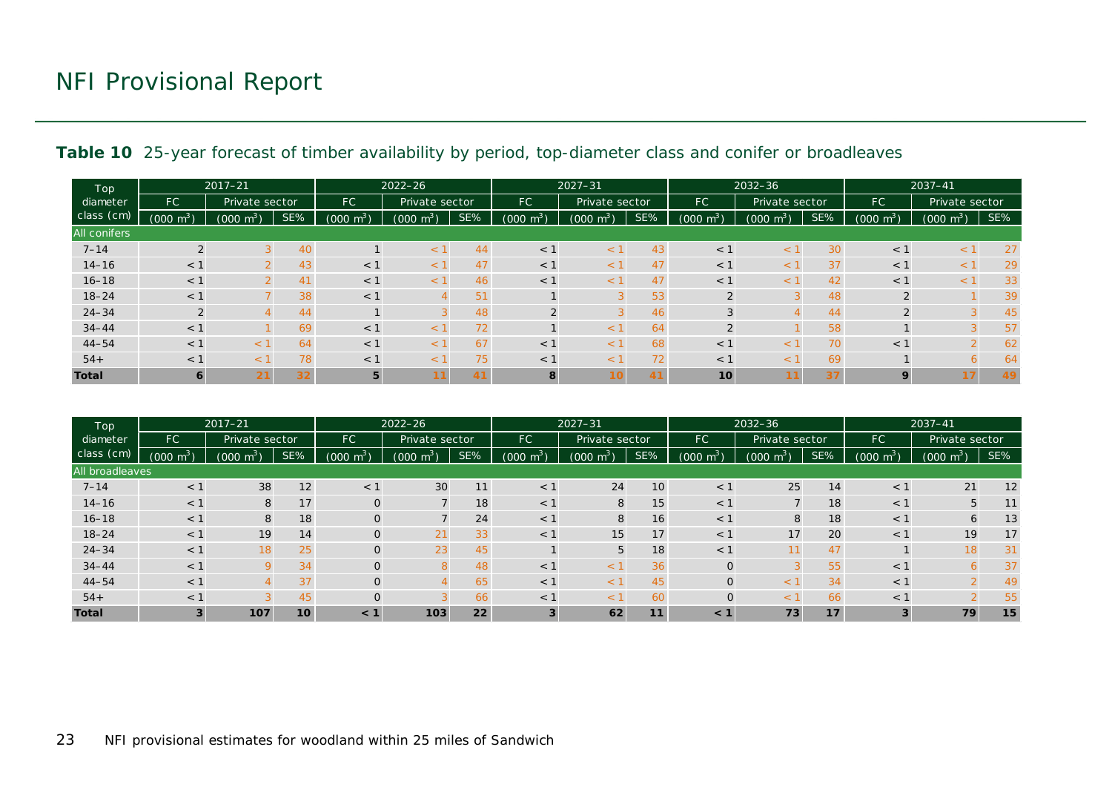| Top<br>diameter<br>class (cm) | $2017 - 21$         |                     |                 |                | $2022 - 26$              |     |                     | $2027 - 31$         |     |                 | $2032 - 36$              |     |                      | $2037 - 41$             |     |
|-------------------------------|---------------------|---------------------|-----------------|----------------|--------------------------|-----|---------------------|---------------------|-----|-----------------|--------------------------|-----|----------------------|-------------------------|-----|
|                               | FC.                 | Private sector      |                 | <b>FC</b>      | Private sector           |     | FC.                 | Private sector      |     | <b>FC</b>       | Private sector           |     | FC<br>Private sector |                         |     |
|                               | $(000 \text{ m}^3)$ | $(000 \text{ m}^3)$ | SE%             | $m^3$<br>(000) | $(000 \text{ m}^3)$      | SE% | $(000 \text{ m}^3)$ | $(000 \text{ m}^3)$ | SE% | $m3$ )<br>(000) | $\text{m}^3$<br>(000)    | SE% | $(000 \text{ m}^3)$  | $\mathsf{m}^3$<br>(000) | SE% |
| <b>All conifers</b>           |                     |                     |                 |                |                          |     |                     |                     |     |                 |                          |     |                      |                         |     |
| $7 - 14$                      | $\overline{2}$      |                     | 40              |                | $\lt$                    | 44  | < 1                 | $\leq$ <sup>7</sup> | 43  | < 1             | $\lt$                    | 30  | < 1                  | $\leq$                  | 27  |
| $14 - 16$                     | $<$ 1               |                     | 43              | $<$ 1          |                          | 47  | $<$ 1               |                     | 47  | $<$ 1           |                          | 37  | < 1                  |                         | 29  |
| $16 - 18$                     | $<$ 1               |                     | 41              | $<$ 1          |                          | 46  | $<$ 1               |                     | 47  | $<$ 1           |                          | 42  | $<$ 1                |                         | 33  |
| $18 - 24$                     | $<$ 1               |                     | 38              | $<$ 1          |                          | 51  |                     |                     | 53  | $\sim$          |                          | 48  | 2                    |                         | 39  |
| $24 - 34$                     | 2                   |                     | 44              |                |                          | 48  |                     |                     | 46  |                 |                          | 44  | 2                    |                         | 45  |
| $34 - 44$                     | $<$ 1               |                     | 69              | $<$ 1          |                          | 72  |                     | $\leq$ <sup>1</sup> | 64  | $\overline{2}$  |                          | 58  |                      |                         | 57  |
| $44 - 54$                     | $<$ 1               | $\overline{a}$      | 64              | $<$ 1          | $\overline{\phantom{a}}$ | 67  | $<$ 1               | $\leq$ $\sim$       | 68  | $<$ 1           | $\overline{\phantom{a}}$ | 70  | $<$ 1                |                         | 62  |
| $54+$                         | $\leq$ 1            | $\lt$               | 78              | $<$ 1          | $\lt$                    | 75  | $<$ 1               | $\leq$              | 72  | $<$ 1           | $\overline{\phantom{a}}$ | 69  |                      |                         | 64  |
| <b>Total</b>                  | 6                   | 21                  | 32 <sub>2</sub> | 5              |                          | 41  | 8                   |                     | 41  | 10              |                          | 37  | 9                    |                         | 49  |

<span id="page-22-0"></span>

| Top             | $2017 - 21$         |                       |                 |                     | $2022 - 26$         |     |                     | $2027 - 31$         |                 |                     | $2032 - 36$    |     |                     | $2037 - 41$         |     |
|-----------------|---------------------|-----------------------|-----------------|---------------------|---------------------|-----|---------------------|---------------------|-----------------|---------------------|----------------|-----|---------------------|---------------------|-----|
| diameter        | FC.                 | Private sector        |                 | FC.                 | Private sector      |     | FC.                 | Private sector      |                 | FC.                 | Private sector |     | <b>FC</b>           | Private sector      |     |
| class (cm)      | $(000 \text{ m}^3)$ | $(000 \; \text{m}^3)$ | SE%             | $(000 \text{ m}^3)$ | $(000 \text{ m}^3)$ | SE% | $(000 \text{ m}^3)$ | $(000 \text{ m}^3)$ | SE%             | $(000 \text{ m}^3)$ | $m^3$<br>(000) | SE% | $(000 \text{ m}^3)$ | $(000 \text{ m}^3)$ | SE% |
| All broadleaves |                     |                       |                 |                     |                     |     |                     |                     |                 |                     |                |     |                     |                     |     |
| $7 - 14$        | < 1                 | 38                    | 12              | $<$ 1               | 30                  | 11  | < 1                 | 24                  | 10 <sub>2</sub> | $<$ 1               | 25             | 14  | < 1                 | 21                  | 12  |
| $14 - 16$       | $<$ 1               | 8                     | 17              | O                   |                     | 18  | < 1                 | 8                   | 15              | $<$ 1               |                | 18  | $<$ 1               | 5                   | 11  |
| $16 - 18$       | $<$ 1               | 8                     | 18              | O                   |                     | 24  | $<$ 1               | 8                   | 16              | $<$ 1               | 8              | 18  | $<$ 1               | 6                   | 13  |
| $18 - 24$       | $<$ 1               | 19                    | 14              | 0                   | 21                  | 33  | $<$ 1               | 15 <sub>1</sub>     | 17              | $<$ 1               | 17             | 20  | $<$ 1               | 19                  | 17  |
| $24 - 34$       | $<$ 1               | 18                    | 25              | 0                   | 23                  | 45  |                     | 5                   | 18              | $<$ 1               |                | 47  |                     | 18                  | 31  |
| $34 - 44$       | $<$ 1               |                       | 34              | O                   |                     | 48  | < 1                 |                     | 36              |                     |                | 55  | $<$ 1               |                     | 37  |
| $44 - 54$       | $<$ 1               |                       | 37              | O                   |                     | 65  | < 1                 | $\epsilon$          | 45              | $\Omega$            |                | 34  | $<$ 1               |                     | 49  |
| $54+$           | $<$ 1               |                       | 45              | O                   |                     | 66  | $<$ 1               | $\leq$ $\geq$       | 60              | $\Omega$            | $\lt$          | 66  | $<$ 1               |                     | 55  |
| <b>Total</b>    |                     | 107                   | 10 <sup>1</sup> | < 1                 | 103                 | 22  | 3                   | 62                  | 11              | < 1                 | 73             | 17  | 3                   | 79                  | 15  |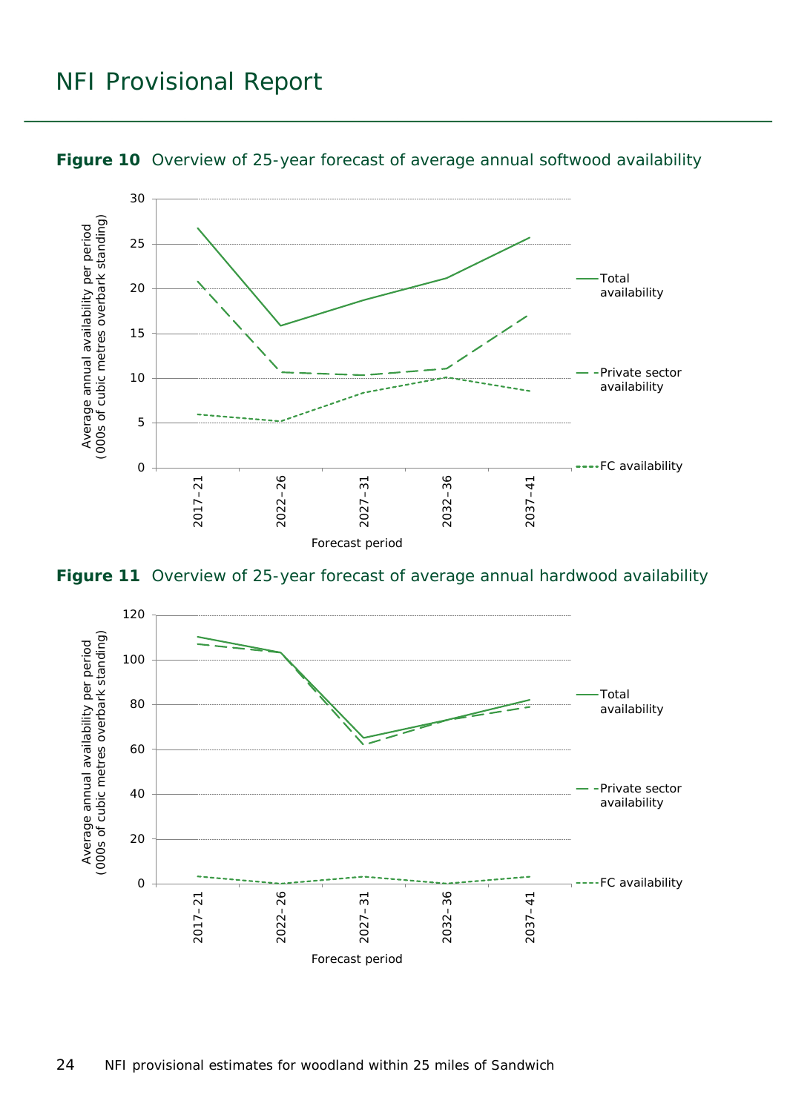

#### <span id="page-23-0"></span>**Figure 10** Overview of 25-year forecast of average annual softwood availability

<span id="page-23-1"></span>**Figure 11** Overview of 25-year forecast of average annual hardwood availability

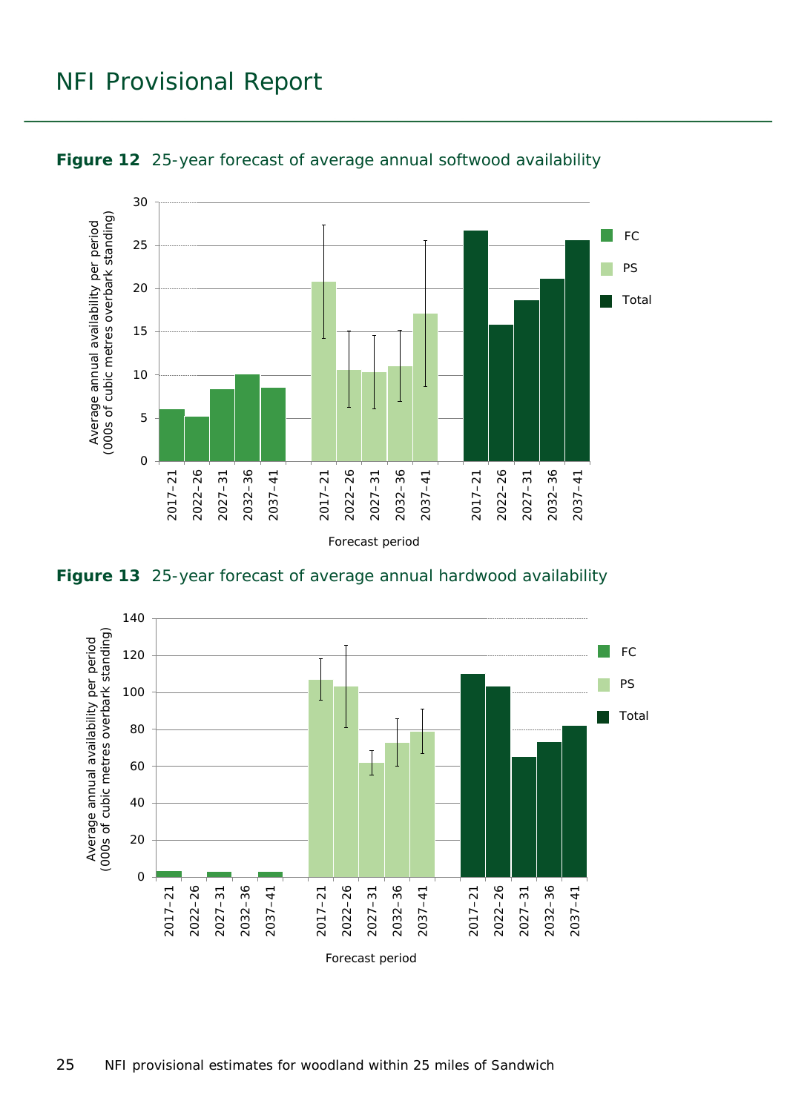

<span id="page-24-0"></span>

<span id="page-24-1"></span>**Figure 13** 25-year forecast of average annual hardwood availability

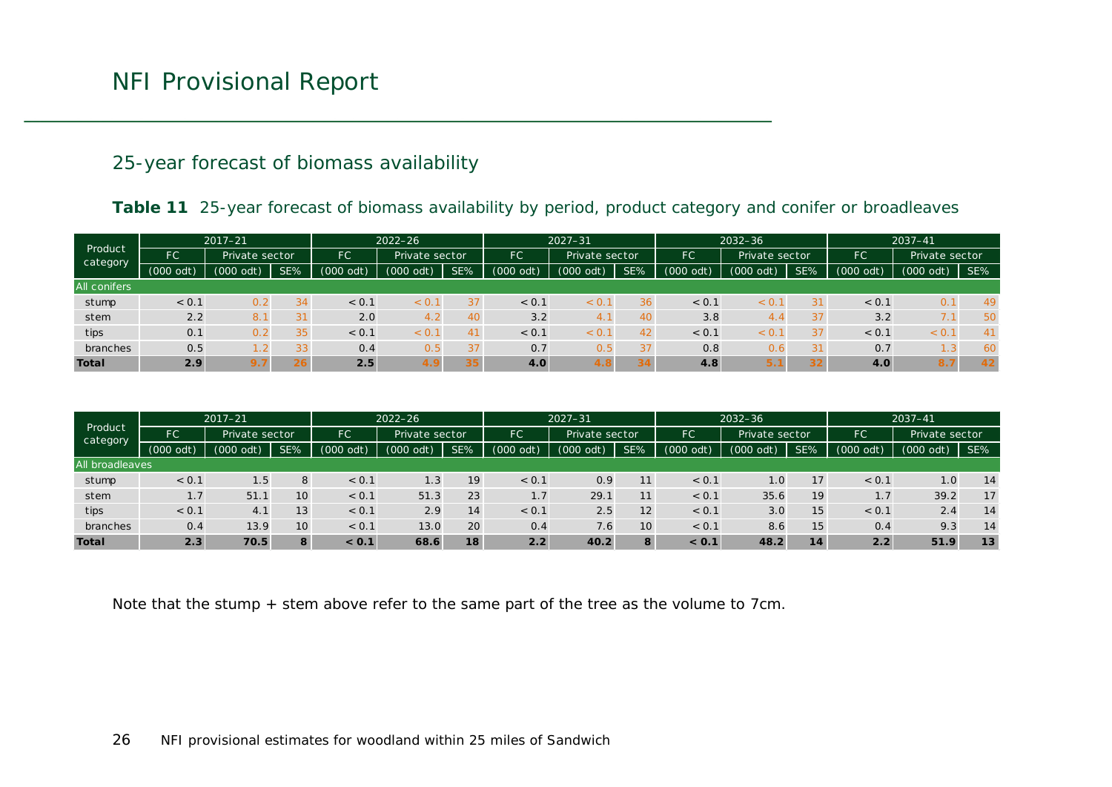#### 25-year forecast of biomass availability

#### Table 11 25-year forecast of biomass availability by period, product category and conifer or broadleaves

| Product<br>category | $2017 - 21$ |                |     | $2022 - 26$       |                | $2027 - 31$ |             |                | $2032 - 36$ |                             |               | $2037 - 41$ |             |                                               |     |
|---------------------|-------------|----------------|-----|-------------------|----------------|-------------|-------------|----------------|-------------|-----------------------------|---------------|-------------|-------------|-----------------------------------------------|-----|
|                     | <b>FC</b>   | Private sector |     | FC                | Private sector |             | FC          | Private sector |             | <b>FC</b><br>Private sector |               |             | FC          | Private sector                                |     |
|                     | $(000$ odt) | (000 odt)      | SE% | (000)<br>$\Omega$ | (000 odt)      | SE%         | $(000$ odt) | (000)<br>odt)  | SE%         | $(000$ odt)                 | (000)<br>odt) | SE%         | $(000$ odt) | $(000$ odt)                                   | SE% |
| All conifers        |             |                |     |                   |                |             |             |                |             |                             |               |             |             |                                               |     |
| stump               | < 0.1       | 0.2            | 34  | < 0.1             | < 0.1          | 37          | < 0.1       | < 0.           | 36          | < 0.1                       | < 0.          | 31          | < 0.1       | 0.1                                           | 49  |
| stem                | 2.2         | 8.1            | 31  | 2.0               | 4.2            | 40          | 3.2         | 4.             | 40          | 3.8                         | 4,4           | 37          | 3.2         | $\overline{ }$ $\overline{ }$<br>$\sqrt{2}$ . | 50  |
| tips                | 0.1         | 0.2            | 35  | < 0.1             | < 0.7          | 41          | < 0.1       | < 0.           | 42          | < 0.1                       | < 0.          | 37          | < 0.1       | < 0.1                                         | 41  |
| branches            | 0.5         |                | 33  | 0.4               | 0.5            | 37          | 0.7         | 0.5            | 37          | 0.8                         | 0.6           | 31          | 0.7         | - 3                                           | 60  |
| <b>Total</b>        | 2.9         | 9.7            | 26  | 2.5               | 4.9            | 35          | 4.0         | 4.8            | 34          | 4.8                         | 5.1           | 32          | 4.0         | 8.1                                           | 42  |

| Product<br>category | $2017 - 21$          |              |     |               | $2022 - 26$    |     |               | $2027 - 31$    |     |           | $2032 - 36$    |     |           | $2037 - 41$    |     |
|---------------------|----------------------|--------------|-----|---------------|----------------|-----|---------------|----------------|-----|-----------|----------------|-----|-----------|----------------|-----|
|                     | FC<br>Private sector |              |     | <b>FC</b>     | Private sector |     | FC            | Private sector |     | <b>FC</b> | Private sector |     | FC        | Private sector |     |
|                     | $(000$ odt)          | 000(<br>odt) | SE% | (000)<br>odt) | (000 odt)      | SE% | (000)<br>odt) | $(000$ odt)    | SE% | (000 odt) | $(000$ odt)    | SE% | (000 odt) | $(000$ odt)    | SE% |
| All broadleaves     |                      |              |     |               |                |     |               |                |     |           |                |     |           |                |     |
| stump               | < 0.1                | 1.5          | 8   | < 0.1         | 1.3            | 19  | < 0.1         | 0.9            | 11  | < 0.1     | (0.0)          | 17  | < 0.1     | 1.0            | 14  |
| stem                | 1.7                  | 51.7         | 10  | < 0.1         | 51.3           | 23  | 1.7           | 29.1           | 11  | < 0.1     | 35.6           | 19  | 1.7       | 39.2           | 17  |
| tips                | < 0.1                | 4.1          | 13  | < 0.1         | 2.9            | 14  | < 0.1         | 2.5            | 12  | < 0.1     | 3.0            | 15  | < 0.1     | 2.4            | 14  |
| branches            | 0.4                  | 13.9         | 10  | < 0.1         | 13.0           | 20  | 0.4           | 7.6            | 10  | < 0.1     | 8.6            | 15  | 0.4       | 9.3            | 14  |
| <b>Total</b>        | 2.3                  | 70.5         | 8   | < 0.1         | 68.6           | 18  | 2.2           | 40.2           | 8   | < 0.1     | 48.2           | 14  | 2.2       | 51.9           | 13  |

<span id="page-25-0"></span>Note that the stump + stem above refer to the same part of the tree as the volume to 7cm.